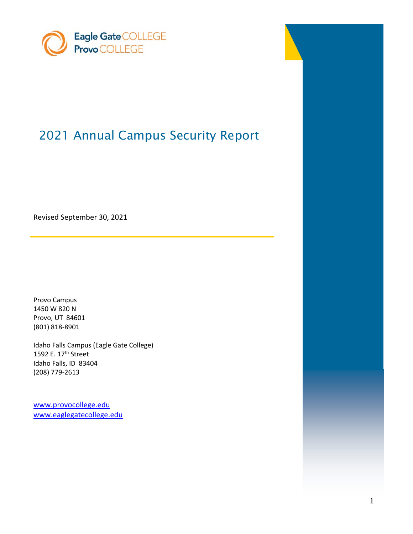

# 2021 Annual Campus Security Report

Revised September 30, 2021

Provo Campus 1450 W 820 N Provo, UT 84601 (801) 818-8901

Idaho Falls Campus (Eagle Gate College) 1592 E. 17<sup>th</sup> Street Idaho Falls, ID 83404 (208) 779-2613

[www.provocollege.edu](http://www.provocollege.edu/) [www.eaglegatecollege.edu](http://www.eaglegatecollege.edu/)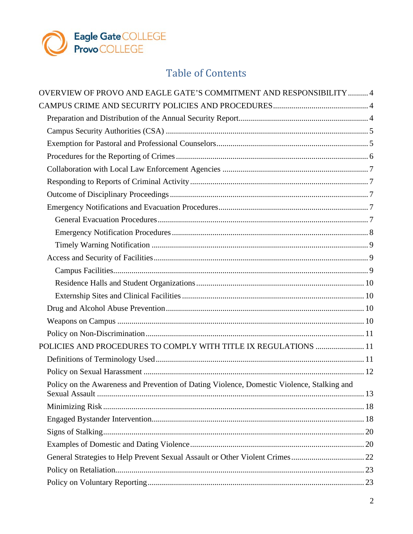

# **Table of Contents**

| OVERVIEW OF PROVO AND EAGLE GATE'S COMMITMENT AND RESPONSIBILITY 4                         |  |
|--------------------------------------------------------------------------------------------|--|
|                                                                                            |  |
|                                                                                            |  |
|                                                                                            |  |
|                                                                                            |  |
|                                                                                            |  |
|                                                                                            |  |
|                                                                                            |  |
|                                                                                            |  |
|                                                                                            |  |
|                                                                                            |  |
|                                                                                            |  |
|                                                                                            |  |
|                                                                                            |  |
|                                                                                            |  |
|                                                                                            |  |
|                                                                                            |  |
|                                                                                            |  |
|                                                                                            |  |
|                                                                                            |  |
| POLICIES AND PROCEDURES TO COMPLY WITH TITLE IX REGULATIONS  11                            |  |
|                                                                                            |  |
|                                                                                            |  |
| Policy on the Awareness and Prevention of Dating Violence, Domestic Violence, Stalking and |  |
|                                                                                            |  |
|                                                                                            |  |
|                                                                                            |  |
|                                                                                            |  |
|                                                                                            |  |
|                                                                                            |  |
|                                                                                            |  |
|                                                                                            |  |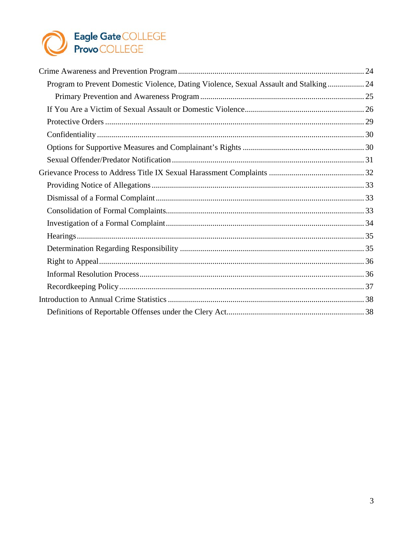

| Program to Prevent Domestic Violence, Dating Violence, Sexual Assault and Stalking  24 |  |
|----------------------------------------------------------------------------------------|--|
|                                                                                        |  |
|                                                                                        |  |
|                                                                                        |  |
|                                                                                        |  |
|                                                                                        |  |
|                                                                                        |  |
|                                                                                        |  |
|                                                                                        |  |
|                                                                                        |  |
|                                                                                        |  |
|                                                                                        |  |
|                                                                                        |  |
|                                                                                        |  |
|                                                                                        |  |
|                                                                                        |  |
|                                                                                        |  |
|                                                                                        |  |
|                                                                                        |  |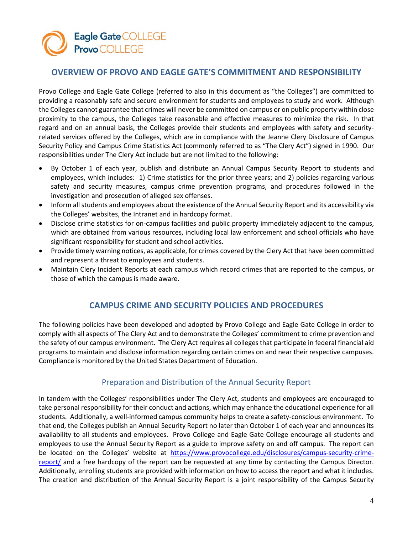

# <span id="page-3-0"></span>**OVERVIEW OF PROVO AND EAGLE GATE'S COMMITMENT AND RESPONSIBILITY**

Provo College and Eagle Gate College (referred to also in this document as "the Colleges") are committed to providing a reasonably safe and secure environment for students and employees to study and work. Although the Colleges cannot guarantee that crimes will never be committed on campus or on public property within close proximity to the campus, the Colleges take reasonable and effective measures to minimize the risk. In that regard and on an annual basis, the Colleges provide their students and employees with safety and securityrelated services offered by the Colleges, which are in compliance with the Jeanne Clery Disclosure of Campus Security Policy and Campus Crime Statistics Act (commonly referred to as "The Clery Act") signed in 1990. Our responsibilities under The Clery Act include but are not limited to the following:

- By October 1 of each year, publish and distribute an Annual Campus Security Report to students and employees, which includes: 1) Crime statistics for the prior three years; and 2) policies regarding various safety and security measures, campus crime prevention programs, and procedures followed in the investigation and prosecution of alleged sex offenses.
- Inform all students and employees about the existence of the Annual Security Report and its accessibility via the Colleges' websites, the Intranet and in hardcopy format.
- Disclose crime statistics for on-campus facilities and public property immediately adjacent to the campus, which are obtained from various resources, including local law enforcement and school officials who have significant responsibility for student and school activities.
- Provide timely warning notices, as applicable, for crimes covered by the Clery Act that have been committed and represent a threat to employees and students.
- Maintain Clery Incident Reports at each campus which record crimes that are reported to the campus, or those of which the campus is made aware.

# **CAMPUS CRIME AND SECURITY POLICIES AND PROCEDURES**

<span id="page-3-1"></span>The following policies have been developed and adopted by Provo College and Eagle Gate College in order to comply with all aspects of The Clery Act and to demonstrate the Colleges' commitment to crime prevention and the safety of our campus environment. The Clery Act requires all colleges that participate in federal financial aid programs to maintain and disclose information regarding certain crimes on and near their respective campuses. Compliance is monitored by the United States Department of Education.

#### Preparation and Distribution of the Annual Security Report

<span id="page-3-2"></span>In tandem with the Colleges' responsibilities under The Clery Act, students and employees are encouraged to take personal responsibility for their conduct and actions, which may enhance the educational experience for all students. Additionally, a well-informed campus community helps to create a safety-conscious environment. To that end, the Colleges publish an Annual Security Report no later than October 1 of each year and announces its availability to all students and employees. Provo College and Eagle Gate College encourage all students and employees to use the Annual Security Report as a guide to improve safety on and off campus. The report can be located on the Colleges' website at [https://www.provocollege.edu/disclosures/campus-security-crime](https://www.provocollege.edu/disclosures/campus-security-crime-report/)[report/](https://www.provocollege.edu/disclosures/campus-security-crime-report/) and a free hardcopy of the report can be requested at any time by contacting the Campus Director. Additionally, enrolling students are provided with information on how to access the report and what it includes. The creation and distribution of the Annual Security Report is a joint responsibility of the Campus Security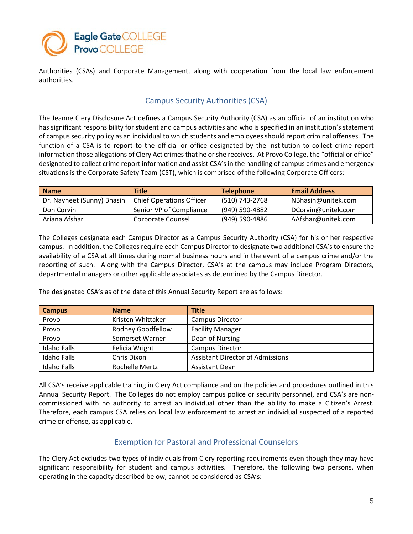

Authorities (CSAs) and Corporate Management, along with cooperation from the local law enforcement authorities.

# Campus Security Authorities (CSA)

<span id="page-4-0"></span>The Jeanne Clery Disclosure Act defines a Campus Security Authority (CSA) as an official of an institution who has significant responsibility for student and campus activities and who is specified in an institution's statement of campus security policy as an individual to which students and employees should report criminal offenses. The function of a CSA is to report to the official or office designated by the institution to collect crime report information those allegations of Clery Act crimes that he or she receives. At Provo College, the "official or office" designated to collect crime report information and assist CSA's in the handling of campus crimes and emergency situations is the Corporate Safety Team (CST), which is comprised of the following Corporate Officers:

| <b>Name</b>                | <b>Title</b>                    | Telephone      | <b>Email Address</b> |
|----------------------------|---------------------------------|----------------|----------------------|
| Dr. Navneet (Sunny) Bhasin | <b>Chief Operations Officer</b> | (510) 743-2768 | NBhasin@unitek.com   |
| Don Corvin                 | Senior VP of Compliance         | (949) 590-4882 | DCorvin@unitek.com   |
| Ariana Afshar              | Corporate Counsel               | (949) 590-4886 | AAfshar@unitek.com   |

The Colleges designate each Campus Director as a Campus Security Authority (CSA) for his or her respective campus. In addition, the Colleges require each Campus Director to designate two additional CSA's to ensure the availability of a CSA at all times during normal business hours and in the event of a campus crime and/or the reporting of such. Along with the Campus Director, CSA's at the campus may include Program Directors, departmental managers or other applicable associates as determined by the Campus Director.

The designated CSA's as of the date of this Annual Security Report are as follows:

| <b>Campus</b>      | <b>Name</b>              | <b>Title</b>                            |
|--------------------|--------------------------|-----------------------------------------|
| Provo              | Kristen Whittaker        | <b>Campus Director</b>                  |
| Provo              | <b>Rodney Goodfellow</b> | <b>Facility Manager</b>                 |
| Provo              | Somerset Warner          | Dean of Nursing                         |
| <b>Idaho Falls</b> | Felicia Wright           | <b>Campus Director</b>                  |
| <b>Idaho Falls</b> | Chris Dixon              | <b>Assistant Director of Admissions</b> |
| <b>Idaho Falls</b> | Rochelle Mertz           | <b>Assistant Dean</b>                   |

All CSA's receive applicable training in Clery Act compliance and on the policies and procedures outlined in this Annual Security Report. The Colleges do not employ campus police or security personnel, and CSA's are noncommissioned with no authority to arrest an individual other than the ability to make a Citizen's Arrest. Therefore, each campus CSA relies on local law enforcement to arrest an individual suspected of a reported crime or offense, as applicable.

## Exemption for Pastoral and Professional Counselors

<span id="page-4-1"></span>The Clery Act excludes two types of individuals from Clery reporting requirements even though they may have significant responsibility for student and campus activities. Therefore, the following two persons, when operating in the capacity described below, cannot be considered as CSA's: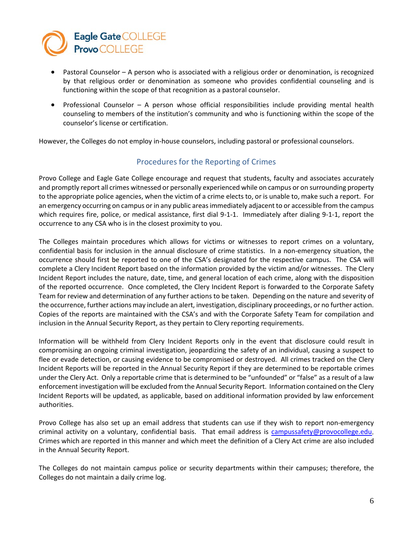

- Pastoral Counselor A person who is associated with a religious order or denomination, is recognized by that religious order or denomination as someone who provides confidential counseling and is functioning within the scope of that recognition as a pastoral counselor.
- Professional Counselor A person whose official responsibilities include providing mental health counseling to members of the institution's community and who is functioning within the scope of the counselor's license or certification.

<span id="page-5-0"></span>However, the Colleges do not employ in-house counselors, including pastoral or professional counselors.

## Procedures for the Reporting of Crimes

Provo College and Eagle Gate College encourage and request that students, faculty and associates accurately and promptly report all crimes witnessed or personally experienced while on campus or on surrounding property to the appropriate police agencies, when the victim of a crime elects to, or is unable to, make such a report. For an emergency occurring on campus or in any public areas immediately adjacent to or accessible from the campus which requires fire, police, or medical assistance, first dial 9-1-1. Immediately after dialing 9-1-1, report the occurrence to any CSA who is in the closest proximity to you.

The Colleges maintain procedures which allows for victims or witnesses to report crimes on a voluntary, confidential basis for inclusion in the annual disclosure of crime statistics. In a non-emergency situation, the occurrence should first be reported to one of the CSA's designated for the respective campus. The CSA will complete a Clery Incident Report based on the information provided by the victim and/or witnesses. The Clery Incident Report includes the nature, date, time, and general location of each crime, along with the disposition of the reported occurrence. Once completed, the Clery Incident Report is forwarded to the Corporate Safety Team for review and determination of any further actions to be taken. Depending on the nature and severity of the occurrence, further actions may include an alert, investigation, disciplinary proceedings, or no further action. Copies of the reports are maintained with the CSA's and with the Corporate Safety Team for compilation and inclusion in the Annual Security Report, as they pertain to Clery reporting requirements.

Information will be withheld from Clery Incident Reports only in the event that disclosure could result in compromising an ongoing criminal investigation, jeopardizing the safety of an individual, causing a suspect to flee or evade detection, or causing evidence to be compromised or destroyed. All crimes tracked on the Clery Incident Reports will be reported in the Annual Security Report if they are determined to be reportable crimes under the Clery Act. Only a reportable crime that is determined to be "unfounded" or "false" as a result of a law enforcement investigation will be excluded from the Annual Security Report. Information contained on the Clery Incident Reports will be updated, as applicable, based on additional information provided by law enforcement authorities.

Provo College has also set up an email address that students can use if they wish to report non-emergency criminal activity on a voluntary, confidential basis. That email address is [campussafety@provocollege.edu.](mailto:campussafety@provocollege.edu) Crimes which are reported in this manner and which meet the definition of a Clery Act crime are also included in the Annual Security Report.

The Colleges do not maintain campus police or security departments within their campuses; therefore, the Colleges do not maintain a daily crime log.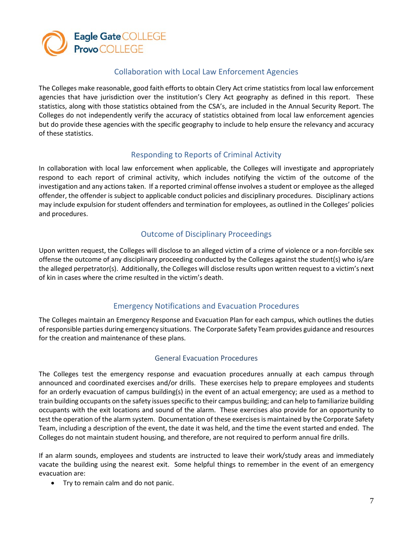

# Collaboration with Local Law Enforcement Agencies

<span id="page-6-0"></span>The Colleges make reasonable, good faith efforts to obtain Clery Act crime statistics from local law enforcement agencies that have jurisdiction over the institution's Clery Act geography as defined in this report. These statistics, along with those statistics obtained from the CSA's, are included in the Annual Security Report. The Colleges do not independently verify the accuracy of statistics obtained from local law enforcement agencies but do provide these agencies with the specific geography to include to help ensure the relevancy and accuracy of these statistics.

# Responding to Reports of Criminal Activity

<span id="page-6-1"></span>In collaboration with local law enforcement when applicable, the Colleges will investigate and appropriately respond to each report of criminal activity, which includes notifying the victim of the outcome of the investigation and any actions taken. If a reported criminal offense involves a student or employee as the alleged offender, the offender is subject to applicable conduct policies and disciplinary procedures. Disciplinary actions may include expulsion for student offenders and termination for employees, as outlined in the Colleges' policies and procedures.

# Outcome of Disciplinary Proceedings

<span id="page-6-2"></span>Upon written request, the Colleges will disclose to an alleged victim of a crime of violence or a non-forcible sex offense the outcome of any disciplinary proceeding conducted by the Colleges against the student(s) who is/are the alleged perpetrator(s). Additionally, the Colleges will disclose results upon written request to a victim's next of kin in cases where the crime resulted in the victim's death.

# Emergency Notifications and Evacuation Procedures

<span id="page-6-3"></span>The Colleges maintain an Emergency Response and Evacuation Plan for each campus, which outlines the duties of responsible parties during emergency situations. The Corporate Safety Team provides guidance and resources for the creation and maintenance of these plans.

## General Evacuation Procedures

<span id="page-6-4"></span>The Colleges test the emergency response and evacuation procedures annually at each campus through announced and coordinated exercises and/or drills. These exercises help to prepare employees and students for an orderly evacuation of campus building(s) in the event of an actual emergency; are used as a method to train building occupants on the safety issues specific to their campus building; and can help to familiarize building occupants with the exit locations and sound of the alarm. These exercises also provide for an opportunity to test the operation of the alarm system. Documentation of these exercises is maintained by the Corporate Safety Team, including a description of the event, the date it was held, and the time the event started and ended. The Colleges do not maintain student housing, and therefore, are not required to perform annual fire drills.

If an alarm sounds, employees and students are instructed to leave their work/study areas and immediately vacate the building using the nearest exit. Some helpful things to remember in the event of an emergency evacuation are:

• Try to remain calm and do not panic.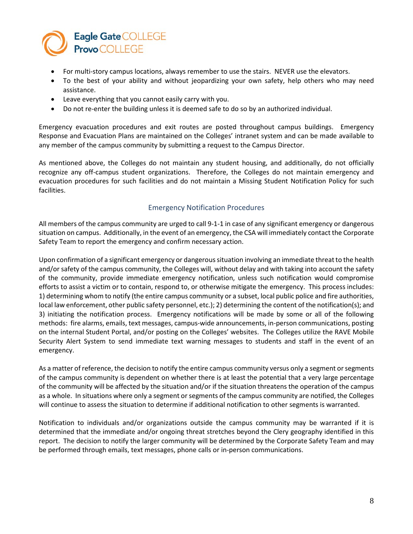

- For multi-story campus locations, always remember to use the stairs. NEVER use the elevators.
- To the best of your ability and without jeopardizing your own safety, help others who may need assistance.
- Leave everything that you cannot easily carry with you.
- Do not re-enter the building unless it is deemed safe to do so by an authorized individual.

Emergency evacuation procedures and exit routes are posted throughout campus buildings. Emergency Response and Evacuation Plans are maintained on the Colleges' intranet system and can be made available to any member of the campus community by submitting a request to the Campus Director.

As mentioned above, the Colleges do not maintain any student housing, and additionally, do not officially recognize any off-campus student organizations. Therefore, the Colleges do not maintain emergency and evacuation procedures for such facilities and do not maintain a Missing Student Notification Policy for such facilities.

#### Emergency Notification Procedures

<span id="page-7-0"></span>All members of the campus community are urged to call 9-1-1 in case of any significant emergency or dangerous situation on campus. Additionally, in the event of an emergency, the CSA will immediately contact the Corporate Safety Team to report the emergency and confirm necessary action.

Upon confirmation of a significant emergency or dangerous situation involving an immediate threat to the health and/or safety of the campus community, the Colleges will, without delay and with taking into account the safety of the community, provide immediate emergency notification, unless such notification would compromise efforts to assist a victim or to contain, respond to, or otherwise mitigate the emergency. This process includes: 1) determining whom to notify (the entire campus community or a subset, local public police and fire authorities, local law enforcement, other public safety personnel, etc.); 2) determining the content of the notification(s); and 3) initiating the notification process. Emergency notifications will be made by some or all of the following methods: fire alarms, emails, text messages, campus-wide announcements, in-person communications, posting on the internal Student Portal, and/or posting on the Colleges' websites. The Colleges utilize the RAVE Mobile Security Alert System to send immediate text warning messages to students and staff in the event of an emergency.

As a matter of reference, the decision to notify the entire campus community versus only a segment or segments of the campus community is dependent on whether there is at least the potential that a very large percentage of the community will be affected by the situation and/or if the situation threatens the operation of the campus as a whole. In situations where only a segment or segments of the campus community are notified, the Colleges will continue to assess the situation to determine if additional notification to other segments is warranted.

Notification to individuals and/or organizations outside the campus community may be warranted if it is determined that the immediate and/or ongoing threat stretches beyond the Clery geography identified in this report. The decision to notify the larger community will be determined by the Corporate Safety Team and may be performed through emails, text messages, phone calls or in-person communications.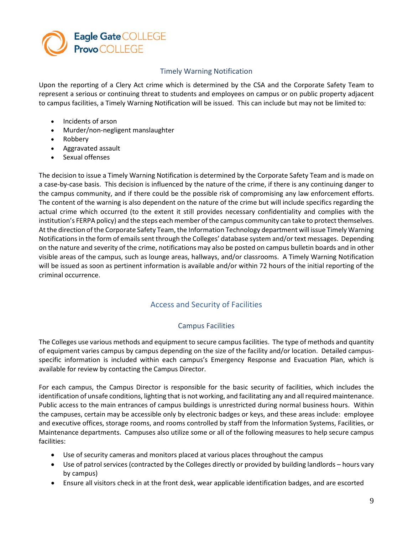

#### Timely Warning Notification

<span id="page-8-0"></span>Upon the reporting of a Clery Act crime which is determined by the CSA and the Corporate Safety Team to represent a serious or continuing threat to students and employees on campus or on public property adjacent to campus facilities, a Timely Warning Notification will be issued. This can include but may not be limited to:

- Incidents of arson
- Murder/non-negligent manslaughter
- Robbery
- Aggravated assault
- Sexual offenses

The decision to issue a Timely Warning Notification is determined by the Corporate Safety Team and is made on a case-by-case basis. This decision is influenced by the nature of the crime, if there is any continuing danger to the campus community, and if there could be the possible risk of compromising any law enforcement efforts. The content of the warning is also dependent on the nature of the crime but will include specifics regarding the actual crime which occurred (to the extent it still provides necessary confidentiality and complies with the institution's FERPA policy) and the steps each member of the campus community can take to protect themselves. At the direction of the Corporate Safety Team, the Information Technology department will issue Timely Warning Notifications in the form of emails sent through the Colleges' database system and/or text messages. Depending on the nature and severity of the crime, notifications may also be posted on campus bulletin boards and in other visible areas of the campus, such as lounge areas, hallways, and/or classrooms. A Timely Warning Notification will be issued as soon as pertinent information is available and/or within 72 hours of the initial reporting of the criminal occurrence.

## Access and Security of Facilities

#### Campus Facilities

<span id="page-8-2"></span><span id="page-8-1"></span>The Colleges use various methods and equipment to secure campus facilities. The type of methods and quantity of equipment varies campus by campus depending on the size of the facility and/or location. Detailed campusspecific information is included within each campus's Emergency Response and Evacuation Plan, which is available for review by contacting the Campus Director.

For each campus, the Campus Director is responsible for the basic security of facilities, which includes the identification of unsafe conditions, lighting that is not working, and facilitating any and all required maintenance. Public access to the main entrances of campus buildings is unrestricted during normal business hours. Within the campuses, certain may be accessible only by electronic badges or keys, and these areas include: employee and executive offices, storage rooms, and rooms controlled by staff from the Information Systems, Facilities, or Maintenance departments. Campuses also utilize some or all of the following measures to help secure campus facilities:

- Use of security cameras and monitors placed at various places throughout the campus
- Use of patrol services (contracted by the Colleges directly or provided by building landlords hours vary by campus)
- Ensure all visitors check in at the front desk, wear applicable identification badges, and are escorted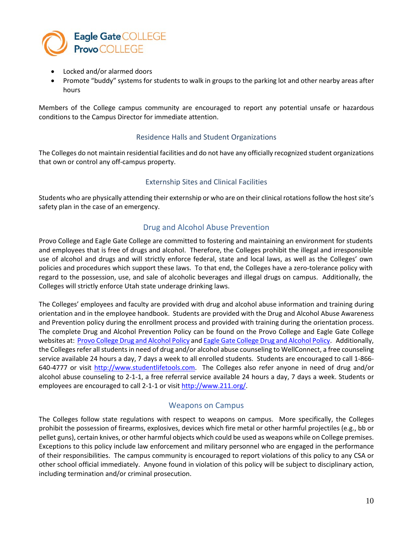

- Locked and/or alarmed doors
- Promote "buddy" systems for students to walk in groups to the parking lot and other nearby areas after hours

Members of the College campus community are encouraged to report any potential unsafe or hazardous conditions to the Campus Director for immediate attention.

#### Residence Halls and Student Organizations

<span id="page-9-0"></span>The Colleges do not maintain residential facilities and do not have any officially recognized student organizations that own or control any off-campus property.

#### Externship Sites and Clinical Facilities

<span id="page-9-1"></span>Students who are physically attending their externship or who are on their clinical rotations follow the host site's safety plan in the case of an emergency.

#### Drug and Alcohol Abuse Prevention

<span id="page-9-2"></span>Provo College and Eagle Gate College are committed to fostering and maintaining an environment for students and employees that is free of drugs and alcohol. Therefore, the Colleges prohibit the illegal and irresponsible use of alcohol and drugs and will strictly enforce federal, state and local laws, as well as the Colleges' own policies and procedures which support these laws. To that end, the Colleges have a zero-tolerance policy with regard to the possession, use, and sale of alcoholic beverages and illegal drugs on campus. Additionally, the Colleges will strictly enforce Utah state underage drinking laws.

The Colleges' employees and faculty are provided with drug and alcohol abuse information and training during orientation and in the employee handbook. Students are provided with the Drug and Alcohol Abuse Awareness and Prevention policy during the enrollment process and provided with training during the orientation process. The complete Drug and Alcohol Prevention Policy can be found on the Provo College and Eagle Gate College websites at: [Provo College Drug and Alcohol Policy](https://www.provocollege.edu/docs/drug-and-alcohol-abuse-policy.pdf) and [Eagle Gate College Drug and Alcohol Policy.](https://www.eaglegatecollege.edu/docs/drug-and-alcohol-abuse-policy.pdf) Additionally, the Colleges refer all students in need of drug and/or alcohol abuse counseling to WellConnect, a free counseling service available 24 hours a day, 7 days a week to all enrolled students. Students are encouraged to call 1-866- 640-4777 or visit [http://www.studentlifetools.com.](http://www.studentlifetools.com/) The Colleges also refer anyone in need of drug and/or alcohol abuse counseling to 2-1-1, a free referral service available 24 hours a day, 7 days a week. Students or employees are encouraged to call 2-1-1 or visit [http://www.211.org/.](http://www.211.org/)

#### Weapons on Campus

<span id="page-9-3"></span>The Colleges follow state regulations with respect to weapons on campus. More specifically, the Colleges prohibit the possession of firearms, explosives, devices which fire metal or other harmful projectiles (e.g., bb or pellet guns), certain knives, or other harmful objects which could be used as weapons while on College premises. Exceptions to this policy include law enforcement and military personnel who are engaged in the performance of their responsibilities. The campus community is encouraged to report violations of this policy to any CSA or other school official immediately. Anyone found in violation of this policy will be subject to disciplinary action, including termination and/or criminal prosecution.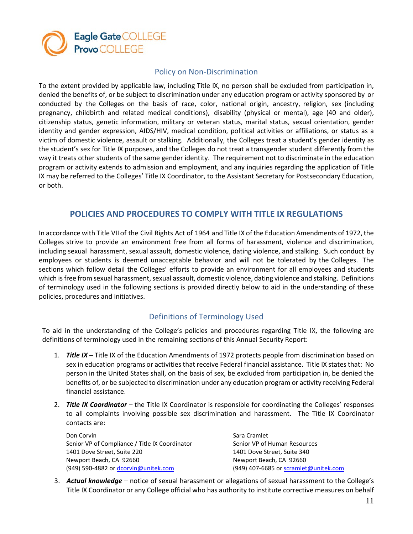

#### Policy on Non-Discrimination

<span id="page-10-0"></span>To the extent provided by applicable law, including Title IX, no person shall be excluded from participation in, denied the benefits of, or be subject to discrimination under any education program or activity sponsored by or conducted by the Colleges on the basis of race, color, national origin, ancestry, religion, sex (including pregnancy, childbirth and related medical conditions), disability (physical or mental), age (40 and older), citizenship status, genetic information, military or veteran status, marital status, sexual orientation, gender identity and gender expression, AIDS/HIV, medical condition, political activities or affiliations, or status as a victim of domestic violence, assault or stalking. Additionally, the Colleges treat a student's gender identity as the student's sex for Title IX purposes, and the Colleges do not treat a transgender student differently from the way it treats other students of the same gender identity. The requirement not to discriminate in the education program or activity extends to admission and employment, and any inquiries regarding the application of Title IX may be referred to the Colleges' Title IX Coordinator, to the Assistant Secretary for Postsecondary Education, or both.

# **POLICIES AND PROCEDURES TO COMPLY WITH TITLE IX REGULATIONS**

<span id="page-10-1"></span>In accordance with Title VII of the Civil Rights Act of 1964 and Title IX of the Education Amendments of 1972, the Colleges strive to provide an environment free from all forms of harassment, violence and discrimination, including sexual harassment, sexual assault, domestic violence, dating violence, and stalking. Such conduct by employees or students is deemed unacceptable behavior and will not be tolerated by the Colleges. The sections which follow detail the Colleges' efforts to provide an environment for all employees and students which is free from sexual harassment, sexual assault, domestic violence, dating violence and stalking. Definitions of terminology used in the following sections is provided directly below to aid in the understanding of these policies, procedures and initiatives.

## Definitions of Terminology Used

<span id="page-10-2"></span>To aid in the understanding of the College's policies and procedures regarding Title IX, the following are definitions of terminology used in the remaining sections of this Annual Security Report:

- 1. *Title IX* Title IX of the Education Amendments of 1972 protects people from discrimination based on sex in education programs or activities that receive Federal financial assistance. Title IX states that: No person in the United States shall, on the basis of sex, be excluded from participation in, be denied the benefits of, or be subjected to discrimination under any education program or activity receiving Federal financial assistance.
- 2. *Title IX Coordinator*  the Title IX Coordinator is responsible for coordinating the Colleges' responses to all complaints involving possible sex discrimination and harassment. The Title IX Coordinator contacts are:

Don Corvin **Sara Cramlet** Corvin Sara Cramlet Corvin Sara Cramlet Corvins Sara Cramlet Corvins Sara Cramlet Corvins Sara Cramlet Corvins Sara Cramlet Corvins Sara Cramlet Corvins Sara Cramlet Corvins Sara Cramlet Corvins S Senior VP of Compliance / Title IX Coordinator Senior VP of Human Resources 1401 Dove Street, Suite 220 1401 Dove Street, Suite 340 Newport Beach, CA 92660 Newport Beach, CA 92660 (949) 590-4882 o[r dcorvin@unitek.com](mailto:dcorvin@unitek.com) (949) 407-6685 or [scramlet@unitek.com](mailto:scramlet@unitek.com)

3. *Actual knowledge* – notice of sexual harassment or allegations of sexual harassment to the College's Title IX Coordinator or any College official who has authority to institute corrective measures on behalf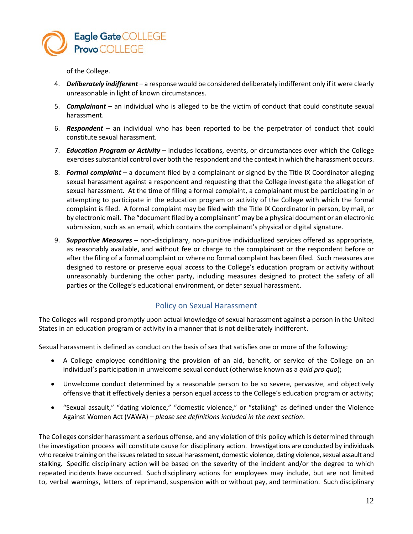

of the College.

- 4. *Deliberately indifferent* a response would be considered deliberately indifferent only if it were clearly unreasonable in light of known circumstances.
- 5. *Complainant* an individual who is alleged to be the victim of conduct that could constitute sexual harassment.
- 6. *Respondent* an individual who has been reported to be the perpetrator of conduct that could constitute sexual harassment.
- 7. *Education Program or Activity*  includes locations, events, or circumstances over which the College exercises substantial control over both the respondent and the context in which the harassment occurs.
- 8. *Formal complaint* a document filed by a complainant or signed by the Title IX Coordinator alleging sexual harassment against a respondent and requesting that the College investigate the allegation of sexual harassment. At the time of filing a formal complaint, a complainant must be participating in or attempting to participate in the education program or activity of the College with which the formal complaint is filed. A formal complaint may be filed with the Title IX Coordinator in person, by mail, or by electronic mail. The "document filed by a complainant" may be a physical document or an electronic submission, such as an email, which contains the complainant's physical or digital signature.
- 9. *Supportive Measures* non-disciplinary, non-punitive individualized services offered as appropriate, as reasonably available, and without fee or charge to the complainant or the respondent before or after the filing of a formal complaint or where no formal complaint has been filed. Such measures are designed to restore or preserve equal access to the College's education program or activity without unreasonably burdening the other party, including measures designed to protect the safety of all parties or the College's educational environment, or deter sexual harassment.

## Policy on Sexual Harassment

<span id="page-11-0"></span>The Colleges will respond promptly upon actual knowledge of sexual harassment against a person in the United States in an education program or activity in a manner that is not deliberately indifferent.

Sexual harassment is defined as conduct on the basis of sex that satisfies one or more of the following:

- A College employee conditioning the provision of an aid, benefit, or service of the College on an individual's participation in unwelcome sexual conduct (otherwise known as a *quid pro quo*);
- Unwelcome conduct determined by a reasonable person to be so severe, pervasive, and objectively offensive that it effectively denies a person equal access to the College's education program or activity;
- "Sexual assault," "dating violence," "domestic violence," or "stalking" as defined under the Violence Against Women Act (VAWA) – *please see definitions included in the next section*.

The Colleges consider harassment a serious offense, and any violation of this policy which is determined through the investigation process will constitute cause for disciplinary action. Investigations are conducted by individuals who receive training on the issues related to sexual harassment, domestic violence, dating violence, sexual assault and stalking. Specific disciplinary action will be based on the severity of the incident and/or the degree to which repeated incidents have occurred. Such disciplinary actions for employees may include, but are not limited to, verbal warnings, letters of reprimand, suspension with or without pay, and termination. Such disciplinary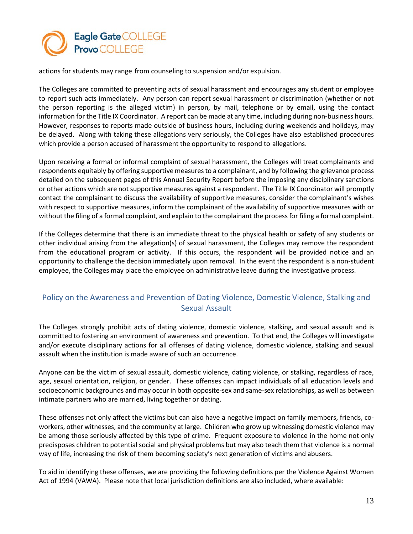

actions for students may range from counseling to suspension and/or expulsion.

The Colleges are committed to preventing acts of sexual harassment and encourages any student or employee to report such acts immediately. Any person can report sexual harassment or discrimination (whether or not the person reporting is the alleged victim) in person, by mail, telephone or by email, using the contact information for the Title IX Coordinator. A report can be made at any time, including during non-business hours. However, responses to reports made outside of business hours, including during weekends and holidays, may be delayed. Along with taking these allegations very seriously, the Colleges have also established procedures which provide a person accused of harassment the opportunity to respond to allegations.

Upon receiving a formal or informal complaint of sexual harassment, the Colleges will treat complainants and respondents equitably by offering supportive measures to a complainant, and by following the grievance process detailed on the subsequent pages of this Annual Security Report before the imposing any disciplinary sanctions or other actions which are not supportive measures against a respondent. The Title IX Coordinator will promptly contact the complainant to discuss the availability of supportive measures, consider the complainant's wishes with respect to supportive measures, inform the complainant of the availability of supportive measures with or without the filing of a formal complaint, and explain to the complainant the process for filing a formal complaint.

If the Colleges determine that there is an immediate threat to the physical health or safety of any students or other individual arising from the allegation(s) of sexual harassment, the Colleges may remove the respondent from the educational program or activity. If this occurs, the respondent will be provided notice and an opportunity to challenge the decision immediately upon removal. In the event the respondent is a non-student employee, the Colleges may place the employee on administrative leave during the investigative process.

# <span id="page-12-0"></span>Policy on the Awareness and Prevention of Dating Violence, Domestic Violence, Stalking and Sexual Assault

The Colleges strongly prohibit acts of dating violence, domestic violence, stalking, and sexual assault and is committed to fostering an environment of awareness and prevention. To that end, the Colleges will investigate and/or execute disciplinary actions for all offenses of dating violence, domestic violence, stalking and sexual assault when the institution is made aware of such an occurrence.

Anyone can be the victim of sexual assault, domestic violence, dating violence, or stalking, regardless of race, age, sexual orientation, religion, or gender. These offenses can impact individuals of all education levels and socioeconomic backgrounds and may occur in both opposite-sex and same-sex relationships, as well as between intimate partners who are married, living together or dating.

These offenses not only affect the victims but can also have a negative impact on family members, friends, coworkers, other witnesses, and the community at large. Children who grow up witnessing domestic violence may be among those seriously affected by this type of crime. Frequent exposure to violence in the home not only predisposes children to potential social and physical problems but may also teach them that violence is a normal way of life, increasing the risk of them becoming society's next generation of victims and abusers.

To aid in identifying these offenses, we are providing the following definitions per the Violence Against Women Act of 1994 (VAWA). Please note that local jurisdiction definitions are also included, where available: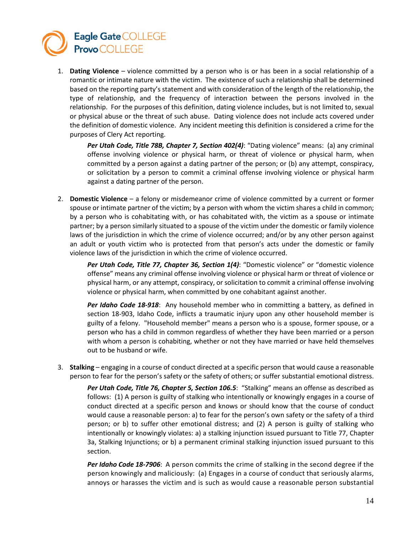

1. **Dating Violence** – violence committed by a person who is or has been in a social relationship of a romantic or intimate nature with the victim. The existence of such a relationship shall be determined based on the reporting party's statement and with consideration of the length of the relationship, the type of relationship, and the frequency of interaction between the persons involved in the relationship. For the purposes of this definition, dating violence includes, but is not limited to, sexual or physical abuse or the threat of such abuse. Dating violence does not include acts covered under the definition of domestic violence. Any incident meeting this definition is considered a crime for the purposes of Clery Act reporting.

*Per Utah Code, Title 78B, Chapter 7, Section 402(4)*: "Dating violence" means: (a) any criminal offense involving violence or physical harm, or threat of violence or physical harm, when committed by a person against a dating partner of the person; or (b) any attempt, conspiracy, or solicitation by a person to commit a criminal offense involving violence or physical harm against a dating partner of the person.

2. **Domestic Violence** – a felony or misdemeanor crime of violence committed by a current or former spouse or intimate partner of the victim; by a person with whom the victim shares a child in common; by a person who is cohabitating with, or has cohabitated with, the victim as a spouse or intimate partner; by a person similarly situated to a spouse of the victim under the domestic or family violence laws of the jurisdiction in which the crime of violence occurred; and/or by any other person against an adult or youth victim who is protected from that person's acts under the domestic or family violence laws of the jurisdiction in which the crime of violence occurred.

*Per Utah Code, Title 77, Chapter 36, Section 1(4)*: "Domestic violence" or "domestic violence offense" means any criminal offense involving violence or physical harm or threat of violence or physical harm, or any attempt, conspiracy, or solicitation to commit a criminal offense involving violence or physical harm, when committed by one cohabitant against another.

*Per Idaho Code 18-918*: Any household member who in committing a battery, as defined in section 18-903, Idaho Code, inflicts a traumatic injury upon any other household member is guilty of a felony. "Household member" means a person who is a spouse, former spouse, or a person who has a child in common regardless of whether they have been married or a person with whom a person is cohabiting, whether or not they have married or have held themselves out to be husband or wife.

3. **Stalking** – engaging in a course of conduct directed at a specific person that would cause a reasonable person to fear for the person's safety or the safety of others; or suffer substantial emotional distress.

*Per Utah Code, Title 76, Chapter 5, Section 106.5*: "Stalking" means an offense as described as follows: (1) A person is guilty of stalking who intentionally or knowingly engages in a course of conduct directed at a specific person and knows or should know that the course of conduct would cause a reasonable person: a) to fear for the person's own safety or the safety of a third person; or b) to suffer other emotional distress; and (2) A person is guilty of stalking who intentionally or knowingly violates: a) a stalking injunction issued pursuant to Title 77, Chapter 3a, Stalking Injunctions; or b) a permanent criminal stalking injunction issued pursuant to this section.

*Per Idaho Code 18-7906*: A person commits the crime of stalking in the second degree if the person knowingly and maliciously: (a) Engages in a course of conduct that seriously alarms, annoys or harasses the victim and is such as would cause a reasonable person substantial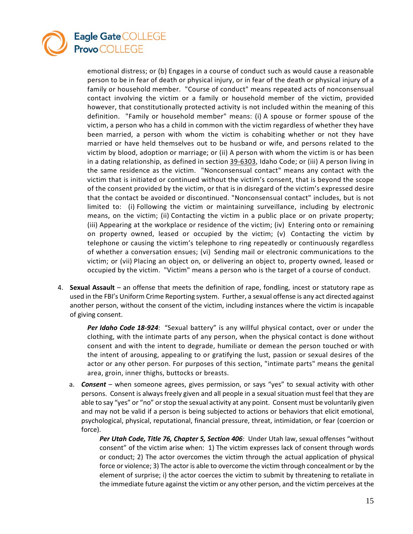

emotional distress; or (b) Engages in a course of conduct such as would cause a reasonable person to be in fear of death or physical injury, or in fear of the death or physical injury of a family or household member. "Course of conduct" means repeated acts of nonconsensual contact involving the victim or a family or household member of the victim, provided however, that constitutionally protected activity is not included within the meaning of this definition. "Family or household member" means: (i) A spouse or former spouse of the victim, a person who has a child in common with the victim regardless of whether they have been married, a person with whom the victim is cohabiting whether or not they have married or have held themselves out to be husband or wife, and persons related to the victim by blood, adoption or marriage; or (ii) A person with whom the victim is or has been in a dating relationship, as defined in section [39-6303,](https://legislature.idaho.gov/statutesrules/idstat/Title39/T39CH63/SECT39-6303) Idaho Code; or (iii) A person living in the same residence as the victim. "Nonconsensual contact" means any contact with the victim that is initiated or continued without the victim's consent, that is beyond the scope of the consent provided by the victim, or that is in disregard of the victim's expressed desire that the contact be avoided or discontinued. "Nonconsensual contact" includes, but is not limited to: (i) Following the victim or maintaining surveillance, including by electronic means, on the victim; (ii) Contacting the victim in a public place or on private property; (iii) Appearing at the workplace or residence of the victim; (iv) Entering onto or remaining on property owned, leased or occupied by the victim; (v) Contacting the victim by telephone or causing the victim's telephone to ring repeatedly or continuously regardless of whether a conversation ensues; (vi) Sending mail or electronic communications to the victim; or (vii) Placing an object on, or delivering an object to, property owned, leased or occupied by the victim. "Victim" means a person who is the target of a course of conduct.

4. **Sexual Assault** – an offense that meets the definition of rape, fondling, incest or statutory rape as used in the FBI's Uniform Crime Reporting system. Further, a sexual offense is any act directed against another person, without the consent of the victim, including instances where the victim is incapable of giving consent.

*Per Idaho Code 18-924*: "Sexual battery" is any willful physical contact, over or under the clothing, with the intimate parts of any person, when the physical contact is done without consent and with the intent to degrade, humiliate or demean the person touched or with the intent of arousing, appealing to or gratifying the lust, passion or sexual desires of the actor or any other person. For purposes of this section, "intimate parts" means the genital area, groin, inner thighs, buttocks or breasts.

a. *Consent* – when someone agrees, gives permission, or says "yes" to sexual activity with other persons. Consent is always freely given and all people in a sexual situation must feel that they are able to say "yes" or "no" or stop the sexual activity at any point. Consent must be voluntarily given and may not be valid if a person is being subjected to actions or behaviors that elicit emotional, psychological, physical, reputational, financial pressure, threat, intimidation, or fear (coercion or force).

Per Utah Code, Title 76, Chapter 5, Section 406: Under Utah law, sexual offenses "without consent" of the victim arise when: 1) The victim expresses lack of consent through words or conduct; 2) The actor overcomes the victim through the actual application of physical force or violence; 3) The actor is able to overcome the victim through concealment or by the element of surprise; i) the actor coerces the victim to submit by threatening to retaliate in the immediate future against the victim or any other person, and the victim perceives at the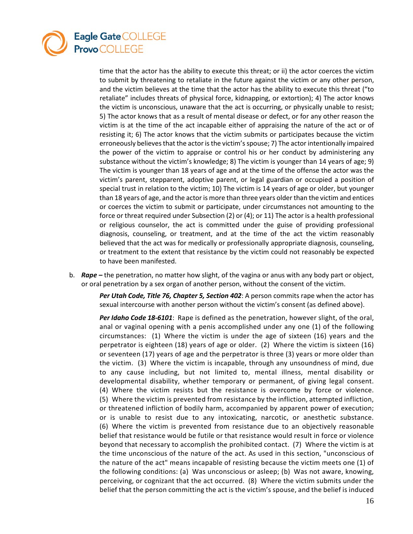

time that the actor has the ability to execute this threat; or ii) the actor coerces the victim to submit by threatening to retaliate in the future against the victim or any other person, and the victim believes at the time that the actor has the ability to execute this threat ("to retaliate" includes threats of physical force, kidnapping, or extortion); 4) The actor knows the victim is unconscious, unaware that the act is occurring, or physically unable to resist; 5) The actor knows that as a result of mental disease or defect, or for any other reason the victim is at the time of the act incapable either of appraising the nature of the act or of resisting it; 6) The actor knows that the victim submits or participates because the victim erroneously believes that the actor is the victim's spouse; 7) The actor intentionally impaired the power of the victim to appraise or control his or her conduct by administering any substance without the victim's knowledge; 8) The victim is younger than 14 years of age; 9) The victim is younger than 18 years of age and at the time of the offense the actor was the victim's parent, stepparent, adoptive parent, or legal guardian or occupied a position of special trust in relation to the victim; 10) The victim is 14 years of age or older, but younger than 18 years of age, and the actor is more than three years older than the victim and entices or coerces the victim to submit or participate, under circumstances not amounting to the force or threat required under Subsection (2) or (4); or 11) The actor is a health professional or religious counselor, the act is committed under the guise of providing professional diagnosis, counseling, or treatment, and at the time of the act the victim reasonably believed that the act was for medically or professionally appropriate diagnosis, counseling, or treatment to the extent that resistance by the victim could not reasonably be expected to have been manifested.

b. *Rape –* the penetration, no matter how slight, of the vagina or anus with any body part or object, or oral penetration by a sex organ of another person, without the consent of the victim.

*Per Utah Code, Title 76, Chapter 5, Section 402*: A person commits rape when the actor has sexual intercourse with another person without the victim's consent (as defined above).

*Per Idaho Code 18-6101*: Rape is defined as the penetration, however slight, of the oral, anal or vaginal opening with a penis accomplished under any one (1) of the following circumstances: (1) Where the victim is under the age of sixteen (16) years and the perpetrator is eighteen (18) years of age or older. (2) Where the victim is sixteen (16) or seventeen (17) years of age and the perpetrator is three (3) years or more older than the victim. (3) Where the victim is incapable, through any unsoundness of mind, due to any cause including, but not limited to, mental illness, mental disability or developmental disability, whether temporary or permanent, of giving legal consent. (4) Where the victim resists but the resistance is overcome by force or violence. (5) Where the victim is prevented from resistance by the infliction, attempted infliction, or threatened infliction of bodily harm, accompanied by apparent power of execution; or is unable to resist due to any intoxicating, narcotic, or anesthetic substance. (6) Where the victim is prevented from resistance due to an objectively reasonable belief that resistance would be futile or that resistance would result in force or violence beyond that necessary to accomplish the prohibited contact. (7) Where the victim is at the time unconscious of the nature of the act. As used in this section, "unconscious of the nature of the act" means incapable of resisting because the victim meets one (1) of the following conditions: (a) Was unconscious or asleep; (b) Was not aware, knowing, perceiving, or cognizant that the act occurred. (8) Where the victim submits under the belief that the person committing the act is the victim's spouse, and the belief is induced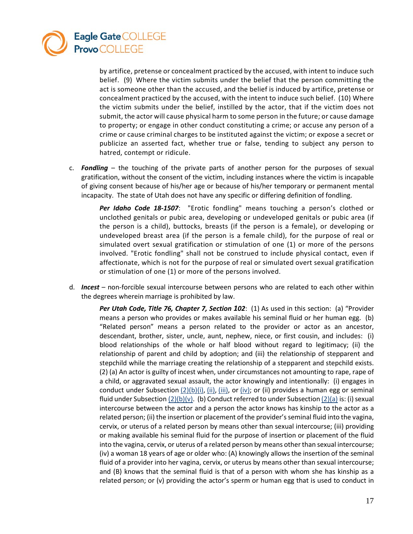

by artifice, pretense or concealment practiced by the accused, with intent to induce such belief. (9) Where the victim submits under the belief that the person committing the act is someone other than the accused, and the belief is induced by artifice, pretense or concealment practiced by the accused, with the intent to induce such belief. (10) Where the victim submits under the belief, instilled by the actor, that if the victim does not submit, the actor will cause physical harm to some person in the future; or cause damage to property; or engage in other conduct constituting a crime; or accuse any person of a crime or cause criminal charges to be instituted against the victim; or expose a secret or publicize an asserted fact, whether true or false, tending to subject any person to hatred, contempt or ridicule.

c. *Fondling* – the touching of the private parts of another person for the purposes of sexual gratification, without the consent of the victim, including instances where the victim is incapable of giving consent because of his/her age or because of his/her temporary or permanent mental incapacity. The state of Utah does not have any specific or differing definition of fondling.

*Per Idaho Code 18-1507*: "Erotic fondling" means touching a person's clothed or unclothed genitals or pubic area, developing or undeveloped genitals or pubic area (if the person is a child), buttocks, breasts (if the person is a female), or developing or undeveloped breast area (if the person is a female child), for the purpose of real or simulated overt sexual gratification or stimulation of one (1) or more of the persons involved. "Erotic fondling" shall not be construed to include physical contact, even if affectionate, which is not for the purpose of real or simulated overt sexual gratification or stimulation of one (1) or more of the persons involved.

d. *Incest* – non-forcible sexual intercourse between persons who are related to each other within the degrees wherein marriage is prohibited by law.

*Per Utah Code, Title 76, Chapter 7, Section 102*: (1) As used in this section: (a) "Provider means a person who provides or makes available his seminal fluid or her human egg. (b) "Related person" means a person related to the provider or actor as an ancestor, descendant, brother, sister, uncle, aunt, nephew, niece, or first cousin, and includes: (i) blood relationships of the whole or half blood without regard to legitimacy; (ii) the relationship of parent and child by adoption; and (iii) the relationship of stepparent and stepchild while the marriage creating the relationship of a stepparent and stepchild exists. (2) (a) An actor is guilty of incest when, under circumstances not amounting to rape, rape of a child, or aggravated sexual assault, the actor knowingly and intentionally: (i) engages in conduct under Subsection  $(2)(b)(i)$ ,  $(iii)$ ,  $(iii)$ , or  $(iv)$ ; or  $(ii)$  provides a human egg or seminal fluid under Subsection  $(2)(b)(v)$ . (b) Conduct referred to under Subsection  $(2)(a)$  is: (i) sexual intercourse between the actor and a person the actor knows has kinship to the actor as a related person; (ii) the insertion or placement of the provider's seminal fluid into the vagina, cervix, or uterus of a related person by means other than sexual intercourse; (iii) providing or making available his seminal fluid for the purpose of insertion or placement of the fluid into the vagina, cervix, or uterus of a related person by means other than sexual intercourse; (iv) a woman 18 years of age or older who: (A) knowingly allows the insertion of the seminal fluid of a provider into her vagina, cervix, or uterus by means other than sexual intercourse; and (B) knows that the seminal fluid is that of a person with whom she has kinship as a related person; or (v) providing the actor's sperm or human egg that is used to conduct in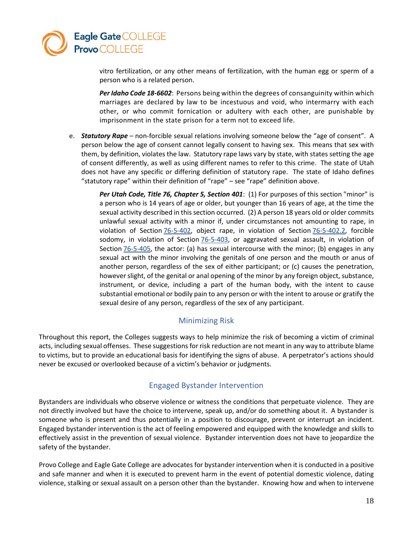

vitro fertilization, or any other means of fertilization, with the human egg or sperm of a person who is a related person.

*Per Idaho Code 18-6602*: Persons being within the degrees of consanguinity within which marriages are declared by law to be incestuous and void, who intermarry with each other, or who commit fornication or adultery with each other, are punishable by imprisonment in the state prison for a term not to exceed life.

e. *Statutory Rape* – non-forcible sexual relations involving someone below the "age of consent". A person below the age of consent cannot legally consent to having sex. This means that sex with them, by definition, violates the law. Statutory rape laws vary by state, with states setting the age of consent differently, as well as using different names to refer to this crime. The state of Utah does not have any specific or differing definition of statutory rape. The state of Idaho defines "statutory rape" within their definition of "rape" – see "rape" definition above.

*Per Utah Code, Title 76, Chapter 5, Section 401*: (1) For purposes of this section "minor" is a person who is 14 years of age or older, but younger than 16 years of age, at the time the sexual activity described in this section occurred. (2) A person 18 years old or older commits unlawful sexual activity with a minor if, under circumstances not amounting to rape, in violation of Section [76-5-402,](https://le.utah.gov/xcode/Title76/Chapter5/76-5-S402.html?v=C76-5-S402_1800010118000101) object rape, in violation of Section [76-5-402.2,](https://le.utah.gov/xcode/Title76/Chapter5/76-5-S402.2.html?v=C76-5-S402.2_1800010118000101) forcible sodomy, in violation of Section [76-5-403,](https://le.utah.gov/xcode/Title76/Chapter5/76-5-S403.html?v=C76-5-S403_2019051420190514) or aggravated sexual assault, in violation of Section [76-5-405,](https://le.utah.gov/xcode/Title76/Chapter5/76-5-S405.html?v=C76-5-S405_1800010118000101) the actor: (a) has sexual intercourse with the minor; (b) engages in any sexual act with the minor involving the genitals of one person and the mouth or anus of another person, regardless of the sex of either participant; or (c) causes the penetration, however slight, of the genital or anal opening of the minor by any foreign object, substance, instrument, or device, including a part of the human body, with the intent to cause substantial emotional or bodily pain to any person or with the intent to arouse or gratify the sexual desire of any person, regardless of the sex of any participant.

## Minimizing Risk

<span id="page-17-0"></span>Throughout this report, the Colleges suggests ways to help minimize the risk of becoming a victim of criminal acts, including sexual offenses. These suggestions for risk reduction are not meant in any way to attribute blame to victims, but to provide an educational basis for identifying the signs of abuse. A perpetrator's actions should never be excused or overlooked because of a victim's behavior or judgments.

## Engaged Bystander Intervention

<span id="page-17-1"></span>Bystanders are individuals who observe violence or witness the conditions that perpetuate violence. They are not directly involved but have the choice to intervene, speak up, and/or do something about it. A bystander is someone who is present and thus potentially in a position to discourage, prevent or interrupt an incident. Engaged bystander intervention is the act of feeling empowered and equipped with the knowledge and skills to effectively assist in the prevention of sexual violence. Bystander intervention does not have to jeopardize the safety of the bystander.

Provo College and Eagle Gate College are advocates for bystander intervention when it is conducted in a positive and safe manner and when it is executed to prevent harm in the event of potential domestic violence, dating violence, stalking or sexual assault on a person other than the bystander. Knowing how and when to intervene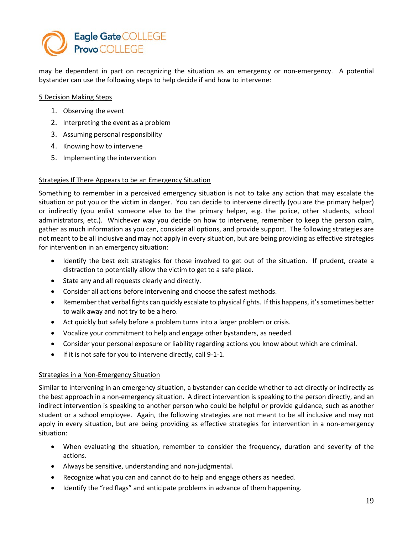

may be dependent in part on recognizing the situation as an emergency or non-emergency. A potential bystander can use the following steps to help decide if and how to intervene:

#### 5 Decision Making Steps

- 1. Observing the event
- 2. Interpreting the event as a problem
- 3. Assuming personal responsibility
- 4. Knowing how to intervene
- 5. Implementing the intervention

#### Strategies If There Appears to be an Emergency Situation

Something to remember in a perceived emergency situation is not to take any action that may escalate the situation or put you or the victim in danger. You can decide to intervene directly (you are the primary helper) or indirectly (you enlist someone else to be the primary helper, e.g. the police, other students, school administrators, etc.). Whichever way you decide on how to intervene, remember to keep the person calm, gather as much information as you can, consider all options, and provide support. The following strategies are not meant to be all inclusive and may not apply in every situation, but are being providing as effective strategies for intervention in an emergency situation:

- Identify the best exit strategies for those involved to get out of the situation. If prudent, create a distraction to potentially allow the victim to get to a safe place.
- State any and all requests clearly and directly.
- Consider all actions before intervening and choose the safest methods.
- Remember that verbal fights can quickly escalate to physical fights. If this happens, it's sometimes better to walk away and not try to be a hero.
- Act quickly but safely before a problem turns into a larger problem or crisis.
- Vocalize your commitment to help and engage other bystanders, as needed.
- Consider your personal exposure or liability regarding actions you know about which are criminal.
- If it is not safe for you to intervene directly, call 9-1-1.

#### Strategies in a Non-Emergency Situation

Similar to intervening in an emergency situation, a bystander can decide whether to act directly or indirectly as the best approach in a non-emergency situation. A direct intervention is speaking to the person directly, and an indirect intervention is speaking to another person who could be helpful or provide guidance, such as another student or a school employee. Again, the following strategies are not meant to be all inclusive and may not apply in every situation, but are being providing as effective strategies for intervention in a non-emergency situation:

- When evaluating the situation, remember to consider the frequency, duration and severity of the actions.
- Always be sensitive, understanding and non-judgmental.
- Recognize what you can and cannot do to help and engage others as needed.
- Identify the "red flags" and anticipate problems in advance of them happening.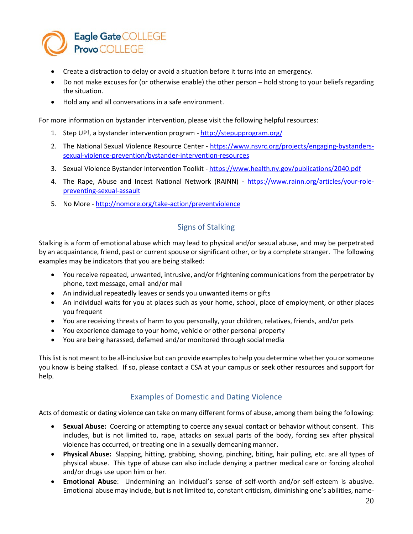

- Create a distraction to delay or avoid a situation before it turns into an emergency.
- Do not make excuses for (or otherwise enable) the other person hold strong to your beliefs regarding the situation.
- Hold any and all conversations in a safe environment.

For more information on bystander intervention, please visit the following helpful resources:

- 1. Step UP!, a bystander intervention program <http://stepupprogram.org/>
- 2. The National Sexual Violence Resource Center [https://www.nsvrc.org/projects/engaging-bystanders](https://www.nsvrc.org/projects/engaging-bystanders-sexual-violence-prevention/bystander-intervention-resources)[sexual-violence-prevention/bystander-intervention-resources](https://www.nsvrc.org/projects/engaging-bystanders-sexual-violence-prevention/bystander-intervention-resources)
- 3. Sexual Violence Bystander Intervention Toolkit <https://www.health.ny.gov/publications/2040.pdf>
- 4. The Rape, Abuse and Incest National Network (RAINN) [https://www.rainn.org/articles/your-role](https://www.rainn.org/articles/your-role-preventing-sexual-assault)[preventing-sexual-assault](https://www.rainn.org/articles/your-role-preventing-sexual-assault)
- 5. No More <http://nomore.org/take-action/preventviolence>

# Signs of Stalking

<span id="page-19-0"></span>Stalking is a form of emotional abuse which may lead to physical and/or sexual abuse, and may be perpetrated by an acquaintance, friend, past or current spouse or significant other, or by a complete stranger. The following examples may be indicators that you are being stalked:

- You receive repeated, unwanted, intrusive, and/or frightening communications from the perpetrator by phone, text message, email and/or mail
- An individual repeatedly leaves or sends you unwanted items or gifts
- An individual waits for you at places such as your home, school, place of employment, or other places you frequent
- You are receiving threats of harm to you personally, your children, relatives, friends, and/or pets
- You experience damage to your home, vehicle or other personal property
- You are being harassed, defamed and/or monitored through social media

This list is not meant to be all-inclusive but can provide examples to help you determine whether you or someone you know is being stalked. If so, please contact a CSA at your campus or seek other resources and support for help.

## Examples of Domestic and Dating Violence

<span id="page-19-1"></span>Acts of domestic or dating violence can take on many different forms of abuse, among them being the following:

- **Sexual Abuse:** Coercing or attempting to coerce any sexual contact or behavior without consent. This includes, but is not limited to, rape, attacks on sexual parts of the body, forcing sex after physical violence has occurred, or treating one in a sexually demeaning manner.
- **Physical Abuse:** Slapping, hitting, grabbing, shoving, pinching, biting, hair pulling, etc. are all types of physical abuse. This type of abuse can also include denying a partner medical care or forcing alcohol and/or drugs use upon him or her.
- **Emotional Abuse**: Undermining an individual's sense of self-worth and/or self-esteem is abusive. Emotional abuse may include, but is not limited to, constant criticism, diminishing one's abilities, name-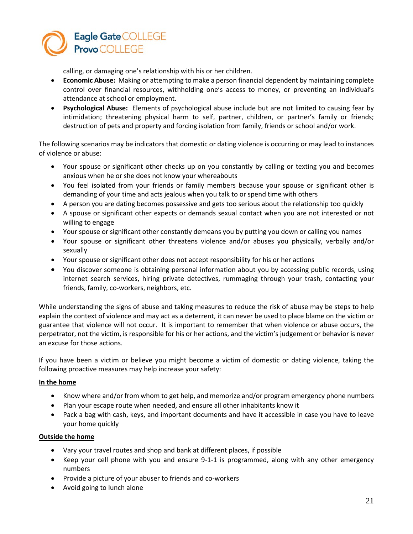

calling, or damaging one's relationship with his or her children.

- **Economic Abuse:** Making or attempting to make a person financial dependent by maintaining complete control over financial resources, withholding one's access to money, or preventing an individual's attendance at school or employment.
- **Psychological Abuse:** Elements of psychological abuse include but are not limited to causing fear by intimidation; threatening physical harm to self, partner, children, or partner's family or friends; destruction of pets and property and forcing isolation from family, friends or school and/or work.

The following scenarios may be indicators that domestic or dating violence is occurring or may lead to instances of violence or abuse:

- Your spouse or significant other checks up on you constantly by calling or texting you and becomes anxious when he or she does not know your whereabouts
- You feel isolated from your friends or family members because your spouse or significant other is demanding of your time and acts jealous when you talk to or spend time with others
- A person you are dating becomes possessive and gets too serious about the relationship too quickly
- A spouse or significant other expects or demands sexual contact when you are not interested or not willing to engage
- Your spouse or significant other constantly demeans you by putting you down or calling you names
- Your spouse or significant other threatens violence and/or abuses you physically, verbally and/or sexually
- Your spouse or significant other does not accept responsibility for his or her actions
- You discover someone is obtaining personal information about you by accessing public records, using internet search services, hiring private detectives, rummaging through your trash, contacting your friends, family, co-workers, neighbors, etc.

While understanding the signs of abuse and taking measures to reduce the risk of abuse may be steps to help explain the context of violence and may act as a deterrent, it can never be used to place blame on the victim or guarantee that violence will not occur. It is important to remember that when violence or abuse occurs, the perpetrator, not the victim, is responsible for his or her actions, and the victim's judgement or behavior is never an excuse for those actions.

If you have been a victim or believe you might become a victim of domestic or dating violence, taking the following proactive measures may help increase your safety:

#### **In the home**

- Know where and/or from whom to get help, and memorize and/or program emergency phone numbers
- Plan your escape route when needed, and ensure all other inhabitants know it
- Pack a bag with cash, keys, and important documents and have it accessible in case you have to leave your home quickly

#### **Outside the home**

- Vary your travel routes and shop and bank at different places, if possible
- Keep your cell phone with you and ensure 9-1-1 is programmed, along with any other emergency numbers
- Provide a picture of your abuser to friends and co-workers
- Avoid going to lunch alone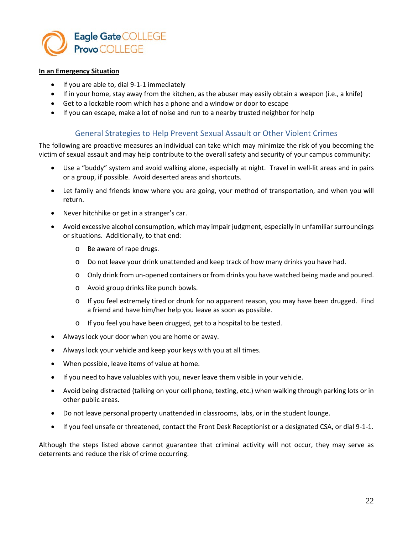

#### **In an Emergency Situation**

- If you are able to, dial 9-1-1 immediately
- If in your home, stay away from the kitchen, as the abuser may easily obtain a weapon (i.e., a knife)
- Get to a lockable room which has a phone and a window or door to escape
- If you can escape, make a lot of noise and run to a nearby trusted neighbor for help

#### General Strategies to Help Prevent Sexual Assault or Other Violent Crimes

<span id="page-21-0"></span>The following are proactive measures an individual can take which may minimize the risk of you becoming the victim of sexual assault and may help contribute to the overall safety and security of your campus community:

- Use a "buddy" system and avoid walking alone, especially at night. Travel in well-lit areas and in pairs or a group, if possible. Avoid deserted areas and shortcuts.
- Let family and friends know where you are going, your method of transportation, and when you will return.
- Never hitchhike or get in a stranger's car.
- Avoid excessive alcohol consumption, which may impair judgment, especially in unfamiliar surroundings or situations. Additionally, to that end:
	- o Be aware of rape drugs.
	- o Do not leave your drink unattended and keep track of how many drinks you have had.
	- o Only drink from un-opened containers or from drinks you have watched being made and poured.
	- o Avoid group drinks like punch bowls.
	- $\circ$  If you feel extremely tired or drunk for no apparent reason, you may have been drugged. Find a friend and have him/her help you leave as soon as possible.
	- o If you feel you have been drugged, get to a hospital to be tested.
- Always lock your door when you are home or away.
- Always lock your vehicle and keep your keys with you at all times.
- When possible, leave items of value at home.
- If you need to have valuables with you, never leave them visible in your vehicle.
- Avoid being distracted (talking on your cell phone, texting, etc.) when walking through parking lots or in other public areas.
- Do not leave personal property unattended in classrooms, labs, or in the student lounge.
- If you feel unsafe or threatened, contact the Front Desk Receptionist or a designated CSA, or dial 9-1-1.

Although the steps listed above cannot guarantee that criminal activity will not occur, they may serve as deterrents and reduce the risk of crime occurring.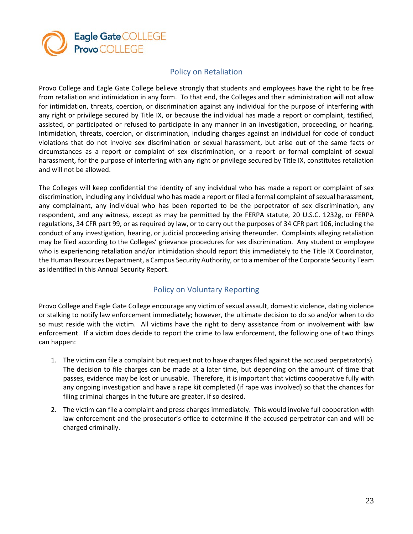

# Policy on Retaliation

<span id="page-22-0"></span>Provo College and Eagle Gate College believe strongly that students and employees have the right to be free from retaliation and intimidation in any form. To that end, the Colleges and their administration will not allow for intimidation, threats, coercion, or discrimination against any individual for the purpose of interfering with any right or privilege secured by Title IX, or because the individual has made a report or complaint, testified, assisted, or participated or refused to participate in any manner in an investigation, proceeding, or hearing. Intimidation, threats, coercion, or discrimination, including charges against an individual for code of conduct violations that do not involve sex discrimination or sexual harassment, but arise out of the same facts or circumstances as a report or complaint of sex discrimination, or a report or formal complaint of sexual harassment, for the purpose of interfering with any right or privilege secured by Title IX, constitutes retaliation and will not be allowed.

The Colleges will keep confidential the identity of any individual who has made a report or complaint of sex discrimination, including any individual who has made a report or filed a formal complaint of sexual harassment, any complainant, any individual who has been reported to be the perpetrator of sex discrimination, any respondent, and any witness, except as may be permitted by the FERPA statute, 20 U.S.C. 1232g, or FERPA regulations, 34 CFR part 99, or as required by law, or to carry out the purposes of 34 CFR part 106, including the conduct of any investigation, hearing, or judicial proceeding arising thereunder. Complaints alleging retaliation may be filed according to the Colleges' grievance procedures for sex discrimination. Any student or employee who is experiencing retaliation and/or intimidation should report this immediately to the Title IX Coordinator, the Human Resources Department, a Campus Security Authority, or to a member of the Corporate Security Team as identified in this Annual Security Report.

## Policy on Voluntary Reporting

<span id="page-22-1"></span>Provo College and Eagle Gate College encourage any victim of sexual assault, domestic violence, dating violence or stalking to notify law enforcement immediately; however, the ultimate decision to do so and/or when to do so must reside with the victim. All victims have the right to deny assistance from or involvement with law enforcement. If a victim does decide to report the crime to law enforcement, the following one of two things can happen:

- 1. The victim can file a complaint but request not to have charges filed against the accused perpetrator(s). The decision to file charges can be made at a later time, but depending on the amount of time that passes, evidence may be lost or unusable. Therefore, it is important that victims cooperative fully with any ongoing investigation and have a rape kit completed (if rape was involved) so that the chances for filing criminal charges in the future are greater, if so desired.
- 2. The victim can file a complaint and press charges immediately. This would involve full cooperation with law enforcement and the prosecutor's office to determine if the accused perpetrator can and will be charged criminally.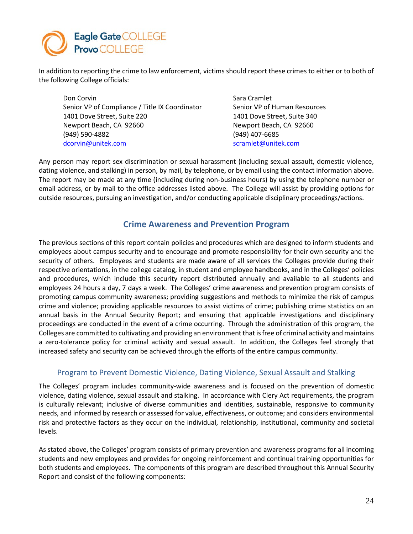

In addition to reporting the crime to law enforcement, victims should report these crimes to either or to both of the following College officials:

Don Corvin **Sara Cramlet** Sara Cramlet **Sara Cramlet** Senior VP of Compliance / Title IX Coordinator Senior VP of Human Resources 1401 Dove Street, Suite 220 1401 Dove Street, Suite 340 Newport Beach, CA 92660 Newport Beach, CA 92660 (949) 590-4882 (949) 407-6685 [dcorvin@unitek.com](mailto:dcorvin@unitek.com) [scramlet@unitek.com](mailto:scramlet@unitek.com)

Any person may report sex discrimination or sexual harassment (including sexual assault, domestic violence, dating violence, and stalking) in person, by mail, by telephone, or by email using the contact information above. The report may be made at any time (including during non-business hours) by using the telephone number or email address, or by mail to the office addresses listed above. The College will assist by providing options for outside resources, pursuing an investigation, and/or conducting applicable disciplinary proceedings/actions.

# **Crime Awareness and Prevention Program**

<span id="page-23-0"></span>The previous sections of this report contain policies and procedures which are designed to inform students and employees about campus security and to encourage and promote responsibility for their own security and the security of others. Employees and students are made aware of all services the Colleges provide during their respective orientations, in the college catalog, in student and employee handbooks, and in the Colleges' policies and procedures, which include this security report distributed annually and available to all students and employees 24 hours a day, 7 days a week. The Colleges' crime awareness and prevention program consists of promoting campus community awareness; providing suggestions and methods to minimize the risk of campus crime and violence; providing applicable resources to assist victims of crime; publishing crime statistics on an annual basis in the Annual Security Report; and ensuring that applicable investigations and disciplinary proceedings are conducted in the event of a crime occurring. Through the administration of this program, the Colleges are committed to cultivating and providing an environment that is free of criminal activity and maintains a zero-tolerance policy for criminal activity and sexual assault. In addition, the Colleges feel strongly that increased safety and security can be achieved through the efforts of the entire campus community.

## Program to Prevent Domestic Violence, Dating Violence, Sexual Assault and Stalking

<span id="page-23-1"></span>The Colleges' program includes community-wide awareness and is focused on the prevention of domestic violence, dating violence, sexual assault and stalking. In accordance with Clery Act requirements, the program is culturally relevant; inclusive of diverse communities and identities, sustainable, responsive to community needs, and informed by research or assessed for value, effectiveness, or outcome; and considers environmental risk and protective factors as they occur on the individual, relationship, institutional, community and societal levels.

As stated above, the Colleges' program consists of primary prevention and awareness programs for all incoming students and new employees and provides for ongoing reinforcement and continual training opportunities for both students and employees. The components of this program are described throughout this Annual Security Report and consist of the following components: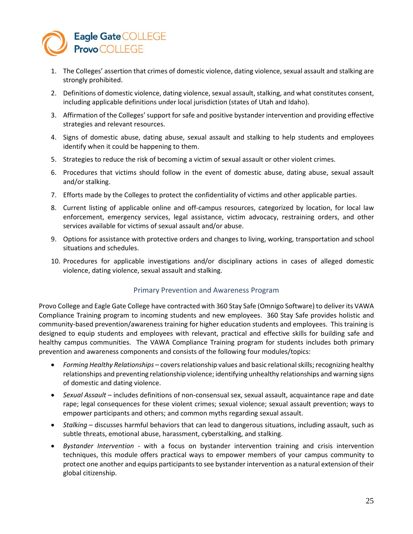

- 1. The Colleges' assertion that crimes of domestic violence, dating violence, sexual assault and stalking are strongly prohibited.
- 2. Definitions of domestic violence, dating violence, sexual assault, stalking, and what constitutes consent, including applicable definitions under local jurisdiction (states of Utah and Idaho).
- 3. Affirmation of the Colleges' support for safe and positive bystander intervention and providing effective strategies and relevant resources.
- 4. Signs of domestic abuse, dating abuse, sexual assault and stalking to help students and employees identify when it could be happening to them.
- 5. Strategies to reduce the risk of becoming a victim of sexual assault or other violent crimes.
- 6. Procedures that victims should follow in the event of domestic abuse, dating abuse, sexual assault and/or stalking.
- 7. Efforts made by the Colleges to protect the confidentiality of victims and other applicable parties.
- 8. Current listing of applicable online and off-campus resources, categorized by location, for local law enforcement, emergency services, legal assistance, victim advocacy, restraining orders, and other services available for victims of sexual assault and/or abuse.
- 9. Options for assistance with protective orders and changes to living, working, transportation and school situations and schedules.
- 10. Procedures for applicable investigations and/or disciplinary actions in cases of alleged domestic violence, dating violence, sexual assault and stalking.

#### Primary Prevention and Awareness Program

<span id="page-24-0"></span>Provo College and Eagle Gate College have contracted with 360 Stay Safe (Omnigo Software) to deliver its VAWA Compliance Training program to incoming students and new employees. 360 Stay Safe provides holistic and community-based prevention/awareness training for higher education students and employees. This training is designed to equip students and employees with relevant, practical and effective skills for building safe and healthy campus communities. The VAWA Compliance Training program for students includes both primary prevention and awareness components and consists of the following four modules/topics:

- *Forming Healthy Relationships* covers relationship values and basic relational skills; recognizing healthy relationships and preventing relationship violence; identifying unhealthy relationships and warning signs of domestic and dating violence.
- *Sexual Assault* includes definitions of non-consensual sex, sexual assault, acquaintance rape and date rape; legal consequences for these violent crimes; sexual violence; sexual assault prevention; ways to empower participants and others; and common myths regarding sexual assault.
- *Stalking* discusses harmful behaviors that can lead to dangerous situations, including assault, such as subtle threats, emotional abuse, harassment, cyberstalking, and stalking.
- *Bystander Intervention* with a focus on bystander intervention training and crisis intervention techniques, this module offers practical ways to empower members of your campus community to protect one another and equips participants to see bystander intervention as a natural extension of their global citizenship.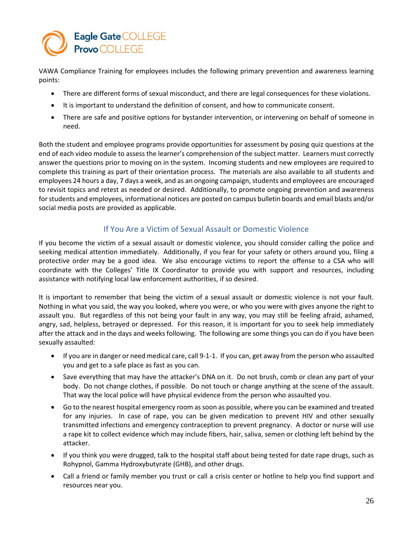

VAWA Compliance Training for employees includes the following primary prevention and awareness learning points:

- There are different forms of sexual misconduct, and there are legal consequences for these violations.
- It is important to understand the definition of consent, and how to communicate consent.
- There are safe and positive options for bystander intervention, or intervening on behalf of someone in need.

Both the student and employee programs provide opportunities for assessment by posing quiz questions at the end of each video module to assess the learner's comprehension of the subject matter. Learners must correctly answer the questions prior to moving on in the system. Incoming students and new employees are required to complete this training as part of their orientation process. The materials are also available to all students and employees 24 hours a day, 7 days a week, and as an ongoing campaign, students and employees are encouraged to revisit topics and retest as needed or desired. Additionally, to promote ongoing prevention and awareness for students and employees, informational notices are posted on campus bulletin boards and email blasts and/or social media posts are provided as applicable.

# If You Are a Victim of Sexual Assault or Domestic Violence

<span id="page-25-0"></span>If you become the victim of a sexual assault or domestic violence, you should consider calling the police and seeking medical attention immediately. Additionally, if you fear for your safety or others around you, filing a protective order may be a good idea. We also encourage victims to report the offense to a CSA who will coordinate with the Colleges' Title IX Coordinator to provide you with support and resources, including assistance with notifying local law enforcement authorities, if so desired.

It is important to remember that being the victim of a sexual assault or domestic violence is not your fault. Nothing in what you said, the way you looked, where you were, or who you were with gives anyone the right to assault you. But regardless of this not being your fault in any way, you may still be feeling afraid, ashamed, angry, sad, helpless, betrayed or depressed. For this reason, it is important for you to seek help immediately after the attack and in the days and weeks following. The following are some things you can do if you have been sexually assaulted:

- If you are in danger or need medical care, call 9-1-1. If you can, get away from the person who assaulted you and get to a safe place as fast as you can.
- Save everything that may have the attacker's DNA on it. Do not brush, comb or clean any part of your body. Do not change clothes, if possible. Do not touch or change anything at the scene of the assault. That way the local police will have physical evidence from the person who assaulted you.
- Go to the nearest hospital emergency room as soon as possible, where you can be examined and treated for any injuries. In case of rape, you can be given medication to prevent HIV and other sexually transmitted infections and emergency contraception to prevent pregnancy. A doctor or nurse will use a rape kit to collect evidence which may include fibers, hair, saliva, semen or clothing left behind by the attacker.
- If you think you were drugged, talk to the hospital staff about being tested for date rape drugs, such as Rohypnol, Gamma Hydroxybutyrate (GHB), and other drugs.
- Call a friend or family member you trust or call a crisis center or hotline to help you find support and resources near you.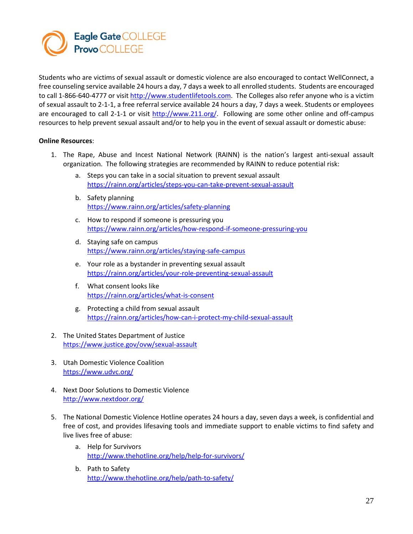

Students who are victims of sexual assault or domestic violence are also encouraged to contact WellConnect, a free counseling service available 24 hours a day, 7 days a week to all enrolled students. Students are encouraged to call 1-866-640-4777 or visit [http://www.studentlifetools.com.](http://www.studentlifetools.com/) The Colleges also refer anyone who is a victim of sexual assault to 2-1-1, a free referral service available 24 hours a day, 7 days a week. Students or employees are encouraged to call 2-1-1 or visit [http://www.211.org/.](http://www.211.org/) Following are some other online and off-campus resources to help prevent sexual assault and/or to help you in the event of sexual assault or domestic abuse:

#### **Online Resources**:

- 1. The Rape, Abuse and Incest National Network (RAINN) is the nation's largest anti-sexual assault organization. The following strategies are recommended by RAINN to reduce potential risk:
	- a. Steps you can take in a social situation to prevent sexual assault <https://rainn.org/articles/steps-you-can-take-prevent-sexual-assault>
	- b. Safety planning <https://www.rainn.org/articles/safety-planning>
	- c. How to respond if someone is pressuring you <https://www.rainn.org/articles/how-respond-if-someone-pressuring-you>
	- d. Staying safe on campus <https://www.rainn.org/articles/staying-safe-campus>
	- e. Your role as a bystander in preventing sexual assault <https://rainn.org/articles/your-role-preventing-sexual-assault>
	- f. What consent looks like <https://rainn.org/articles/what-is-consent>
	- g. Protecting a child from sexual assault <https://rainn.org/articles/how-can-i-protect-my-child-sexual-assault>
- 2. The United States Department of Justice <https://www.justice.gov/ovw/sexual-assault>
- 3. Utah Domestic Violence Coalition <https://www.udvc.org/>
- 4. Next Door Solutions to Domestic Violence <http://www.nextdoor.org/>
- 5. The National Domestic Violence Hotline operates 24 hours a day, seven days a week, is confidential and free of cost, and provides lifesaving tools and immediate support to enable victims to find safety and live lives free of abuse:
	- a. Help for Survivors <http://www.thehotline.org/help/help-for-survivors/>
	- b. Path to Safety <http://www.thehotline.org/help/path-to-safety/>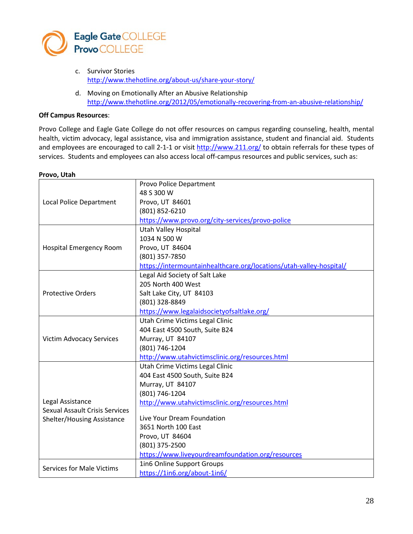

- c. Survivor Stories <http://www.thehotline.org/about-us/share-your-story/>
- d. Moving on Emotionally After an Abusive Relationship <http://www.thehotline.org/2012/05/emotionally-recovering-from-an-abusive-relationship/>

#### **Off Campus Resources**:

Provo College and Eagle Gate College do not offer resources on campus regarding counseling, health, mental health, victim advocacy, legal assistance, visa and immigration assistance, student and financial aid. Students and employees are encouraged to call 2-1-1 or visit<http://www.211.org/> to obtain referrals for these types of services. Students and employees can also access local off-campus resources and public services, such as:

#### **Provo, Utah**

|                                       | <b>Provo Police Department</b>                                      |  |  |  |
|---------------------------------------|---------------------------------------------------------------------|--|--|--|
|                                       | 48 S 300 W                                                          |  |  |  |
| <b>Local Police Department</b>        | Provo, UT 84601                                                     |  |  |  |
|                                       | (801) 852-6210                                                      |  |  |  |
|                                       | https://www.provo.org/city-services/provo-police                    |  |  |  |
|                                       | <b>Utah Valley Hospital</b>                                         |  |  |  |
|                                       | 1034 N 500 W                                                        |  |  |  |
| <b>Hospital Emergency Room</b>        | Provo, UT 84604                                                     |  |  |  |
|                                       | (801) 357-7850                                                      |  |  |  |
|                                       | https://intermountainhealthcare.org/locations/utah-valley-hospital/ |  |  |  |
|                                       | Legal Aid Society of Salt Lake                                      |  |  |  |
|                                       | 205 North 400 West                                                  |  |  |  |
| <b>Protective Orders</b>              | Salt Lake City, UT 84103                                            |  |  |  |
|                                       | (801) 328-8849                                                      |  |  |  |
|                                       | https://www.legalaidsocietyofsaltlake.org/                          |  |  |  |
|                                       | Utah Crime Victims Legal Clinic                                     |  |  |  |
|                                       | 404 East 4500 South, Suite B24                                      |  |  |  |
| <b>Victim Advocacy Services</b>       | Murray, UT 84107                                                    |  |  |  |
|                                       | (801) 746-1204                                                      |  |  |  |
|                                       | http://www.utahvictimsclinic.org/resources.html                     |  |  |  |
|                                       | Utah Crime Victims Legal Clinic                                     |  |  |  |
|                                       | 404 East 4500 South, Suite B24                                      |  |  |  |
|                                       | Murray, UT 84107                                                    |  |  |  |
|                                       | (801) 746-1204                                                      |  |  |  |
| Legal Assistance                      | http://www.utahvictimsclinic.org/resources.html                     |  |  |  |
| <b>Sexual Assault Crisis Services</b> |                                                                     |  |  |  |
| Shelter/Housing Assistance            | Live Your Dream Foundation                                          |  |  |  |
|                                       | 3651 North 100 East                                                 |  |  |  |
|                                       | Provo, UT 84604                                                     |  |  |  |
|                                       | (801) 375-2500                                                      |  |  |  |
|                                       | https://www.liveyourdreamfoundation.org/resources                   |  |  |  |
| <b>Services for Male Victims</b>      | 1in6 Online Support Groups                                          |  |  |  |
|                                       | https://1in6.org/about-1in6/                                        |  |  |  |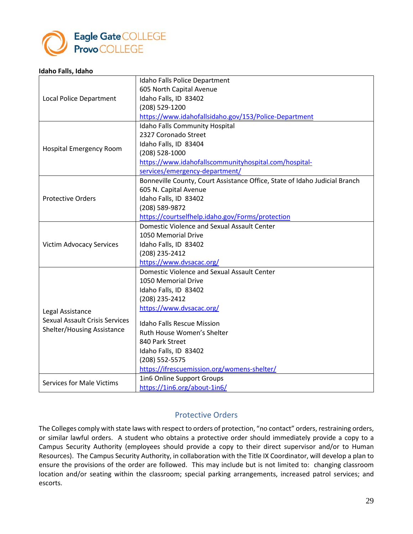

#### **Idaho Falls, Idaho**

|                                       | Idaho Falls Police Department                                              |
|---------------------------------------|----------------------------------------------------------------------------|
|                                       | 605 North Capital Avenue                                                   |
| Local Police Department               | Idaho Falls, ID 83402                                                      |
|                                       | (208) 529-1200                                                             |
|                                       | https://www.idahofallsidaho.gov/153/Police-Department                      |
|                                       | Idaho Falls Community Hospital                                             |
|                                       | 2327 Coronado Street                                                       |
|                                       | Idaho Falls, ID 83404                                                      |
| <b>Hospital Emergency Room</b>        | (208) 528-1000                                                             |
|                                       | https://www.idahofallscommunityhospital.com/hospital-                      |
|                                       | services/emergency-department/                                             |
|                                       | Bonneville County, Court Assistance Office, State of Idaho Judicial Branch |
|                                       | 605 N. Capital Avenue                                                      |
| <b>Protective Orders</b>              | Idaho Falls, ID 83402                                                      |
|                                       | (208) 589-9872                                                             |
|                                       | https://courtselfhelp.idaho.gov/Forms/protection                           |
|                                       | Domestic Violence and Sexual Assault Center                                |
|                                       | 1050 Memorial Drive                                                        |
| <b>Victim Advocacy Services</b>       | Idaho Falls, ID 83402                                                      |
|                                       | (208) 235-2412                                                             |
|                                       | https://www.dvsacac.org/                                                   |
|                                       | Domestic Violence and Sexual Assault Center                                |
|                                       | 1050 Memorial Drive                                                        |
|                                       | Idaho Falls, ID 83402                                                      |
|                                       | (208) 235-2412                                                             |
| Legal Assistance                      | https://www.dvsacac.org/                                                   |
| <b>Sexual Assault Crisis Services</b> |                                                                            |
| Shelter/Housing Assistance            | <b>Idaho Falls Rescue Mission</b>                                          |
|                                       | Ruth House Women's Shelter                                                 |
|                                       | 840 Park Street                                                            |
|                                       | Idaho Falls, ID 83402                                                      |
|                                       | (208) 552-5575                                                             |
|                                       | https://ifrescuemission.org/womens-shelter/                                |
| <b>Services for Male Victims</b>      | 1in6 Online Support Groups                                                 |
|                                       | https://1in6.org/about-1in6/                                               |

#### Protective Orders

<span id="page-28-0"></span>The Colleges comply with state laws with respect to orders of protection, "no contact" orders, restraining orders, or similar lawful orders. A student who obtains a protective order should immediately provide a copy to a Campus Security Authority (employees should provide a copy to their direct supervisor and/or to Human Resources). The Campus Security Authority, in collaboration with the Title IX Coordinator, will develop a plan to ensure the provisions of the order are followed. This may include but is not limited to: changing classroom location and/or seating within the classroom; special parking arrangements, increased patrol services; and escorts.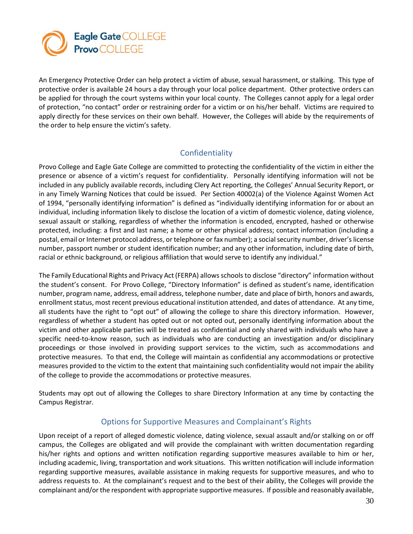

An Emergency Protective Order can help protect a victim of abuse, sexual harassment, or stalking. This type of protective order is available 24 hours a day through your local police department. Other protective orders can be applied for through the court systems within your local county. The Colleges cannot apply for a legal order of protection, "no contact" order or restraining order for a victim or on his/her behalf. Victims are required to apply directly for these services on their own behalf. However, the Colleges will abide by the requirements of the order to help ensure the victim's safety.

# Confidentiality

<span id="page-29-0"></span>Provo College and Eagle Gate College are committed to protecting the confidentiality of the victim in either the presence or absence of a victim's request for confidentiality. Personally identifying information will not be included in any publicly available records, including Clery Act reporting, the Colleges' Annual Security Report, or in any Timely Warning Notices that could be issued. Per Section 40002(a) of the Violence Against Women Act of 1994, "personally identifying information" is defined as "individually identifying information for or about an individual, including information likely to disclose the location of a victim of domestic violence, dating violence, sexual assault or stalking, regardless of whether the information is encoded, encrypted, hashed or otherwise protected, including: a first and last name; a home or other physical address; contact information (including a postal, email or Internet protocol address, or telephone or fax number); a social security number, driver's license number, passport number or student identification number; and any other information, including date of birth, racial or ethnic background, or religious affiliation that would serve to identify any individual."

The Family Educational Rights and Privacy Act(FERPA) allows schools to disclose "directory" information without the student's consent. For Provo College, "Directory Information" is defined as student's name, identification number, program name, address, email address, telephone number, date and place of birth, honors and awards, enrollment status, most recent previous educational institution attended, and dates of attendance. At any time, all students have the right to "opt out" of allowing the college to share this directory information. However, regardless of whether a student has opted out or not opted out, personally identifying information about the victim and other applicable parties will be treated as confidential and only shared with individuals who have a specific need-to-know reason, such as individuals who are conducting an investigation and/or disciplinary proceedings or those involved in providing support services to the victim, such as accommodations and protective measures. To that end, the College will maintain as confidential any accommodations or protective measures provided to the victim to the extent that maintaining such confidentiality would not impair the ability of the college to provide the accommodations or protective measures.

Students may opt out of allowing the Colleges to share Directory Information at any time by contacting the Campus Registrar.

# Options for Supportive Measures and Complainant's Rights

<span id="page-29-1"></span>Upon receipt of a report of alleged domestic violence, dating violence, sexual assault and/or stalking on or off campus, the Colleges are obligated and will provide the complainant with written documentation regarding his/her rights and options and written notification regarding supportive measures available to him or her, including academic, living, transportation and work situations. This written notification will include information regarding supportive measures, available assistance in making requests for supportive measures, and who to address requests to. At the complainant's request and to the best of their ability, the Colleges will provide the complainant and/or the respondent with appropriate supportive measures. If possible and reasonably available,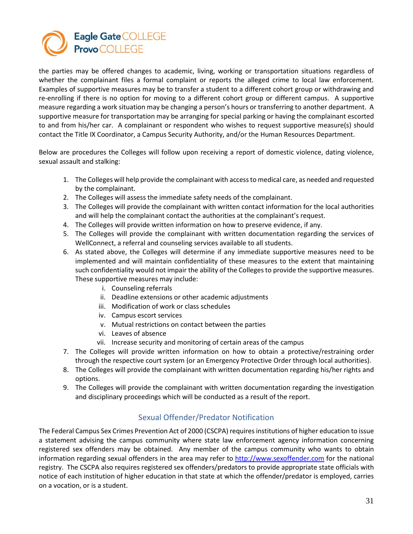

the parties may be offered changes to academic, living, working or transportation situations regardless of whether the complainant files a formal complaint or reports the alleged crime to local law enforcement. Examples of supportive measures may be to transfer a student to a different cohort group or withdrawing and re-enrolling if there is no option for moving to a different cohort group or different campus. A supportive measure regarding a work situation may be changing a person's hours or transferring to another department. A supportive measure for transportation may be arranging for special parking or having the complainant escorted to and from his/her car. A complainant or respondent who wishes to request supportive measure(s) should contact the Title IX Coordinator, a Campus Security Authority, and/or the Human Resources Department.

Below are procedures the Colleges will follow upon receiving a report of domestic violence, dating violence, sexual assault and stalking:

- 1. The Colleges will help provide the complainant with access to medical care, as needed and requested by the complainant.
- 2. The Colleges will assess the immediate safety needs of the complainant.
- 3. The Colleges will provide the complainant with written contact information for the local authorities and will help the complainant contact the authorities at the complainant's request.
- 4. The Colleges will provide written information on how to preserve evidence, if any.
- 5. The Colleges will provide the complainant with written documentation regarding the services of WellConnect, a referral and counseling services available to all students.
- 6. As stated above, the Colleges will determine if any immediate supportive measures need to be implemented and will maintain confidentiality of these measures to the extent that maintaining such confidentiality would not impair the ability of the Colleges to provide the supportive measures. These supportive measures may include:
	- i. Counseling referrals
	- ii. Deadline extensions or other academic adjustments
	- iii. Modification of work or class schedules
	- iv. Campus escort services
	- v. Mutual restrictions on contact between the parties
	- vi. Leaves of absence
	- vii. Increase security and monitoring of certain areas of the campus
- 7. The Colleges will provide written information on how to obtain a protective/restraining order through the respective court system (or an Emergency Protective Order through local authorities).
- 8. The Colleges will provide the complainant with written documentation regarding his/her rights and options.
- 9. The Colleges will provide the complainant with written documentation regarding the investigation and disciplinary proceedings which will be conducted as a result of the report.

## Sexual Offender/Predator Notification

<span id="page-30-0"></span>The Federal Campus Sex Crimes Prevention Act of 2000 (CSCPA) requires institutions of higher education to issue a statement advising the campus community where state law enforcement agency information concerning registered sex offenders may be obtained. Any member of the campus community who wants to obtain information regarding sexual offenders in the area may refer to [http://www.sexoffender.com](http://www.sexoffender.com/) for the national registry. The CSCPA also requires registered sex offenders/predators to provide appropriate state officials with notice of each institution of higher education in that state at which the offender/predator is employed, carries on a vocation, or is a student.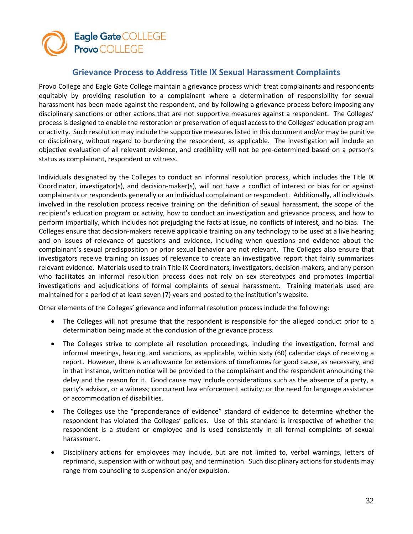

# **Grievance Process to Address Title IX Sexual Harassment Complaints**

<span id="page-31-0"></span>Provo College and Eagle Gate College maintain a grievance process which treat complainants and respondents equitably by providing resolution to a complainant where a determination of responsibility for sexual harassment has been made against the respondent, and by following a grievance process before imposing any disciplinary sanctions or other actions that are not supportive measures against a respondent. The Colleges' process is designed to enable the restoration or preservation of equal access to the Colleges' education program or activity. Such resolution may include the supportive measures listed in this document and/or may be punitive or disciplinary, without regard to burdening the respondent, as applicable. The investigation will include an objective evaluation of all relevant evidence, and credibility will not be pre-determined based on a person's status as complainant, respondent or witness.

Individuals designated by the Colleges to conduct an informal resolution process, which includes the Title IX Coordinator, investigator(s), and decision-maker(s), will not have a conflict of interest or bias for or against complainants or respondents generally or an individual complainant or respondent. Additionally, all individuals involved in the resolution process receive training on the definition of sexual harassment, the scope of the recipient's education program or activity, how to conduct an investigation and grievance process, and how to perform impartially, which includes not prejudging the facts at issue, no conflicts of interest, and no bias. The Colleges ensure that decision-makers receive applicable training on any technology to be used at a live hearing and on issues of relevance of questions and evidence, including when questions and evidence about the complainant's sexual predisposition or prior sexual behavior are not relevant. The Colleges also ensure that investigators receive training on issues of relevance to create an investigative report that fairly summarizes relevant evidence. Materials used to train Title IX Coordinators, investigators, decision-makers, and any person who facilitates an informal resolution process does not rely on sex stereotypes and promotes impartial investigations and adjudications of formal complaints of sexual harassment. Training materials used are maintained for a period of at least seven (7) years and posted to the institution's website.

Other elements of the Colleges' grievance and informal resolution process include the following:

- The Colleges will not presume that the respondent is responsible for the alleged conduct prior to a determination being made at the conclusion of the grievance process.
- The Colleges strive to complete all resolution proceedings, including the investigation, formal and informal meetings, hearing, and sanctions, as applicable, within sixty (60) calendar days of receiving a report. However, there is an allowance for extensions of timeframes for good cause, as necessary, and in that instance, written notice will be provided to the complainant and the respondent announcing the delay and the reason for it. Good cause may include considerations such as the absence of a party, a party's advisor, or a witness; concurrent law enforcement activity; or the need for language assistance or accommodation of disabilities.
- The Colleges use the "preponderance of evidence" standard of evidence to determine whether the respondent has violated the Colleges' policies. Use of this standard is irrespective of whether the respondent is a student or employee and is used consistently in all formal complaints of sexual harassment.
- Disciplinary actions for employees may include, but are not limited to, verbal warnings, letters of reprimand, suspension with or without pay, and termination. Such disciplinary actions for students may range from counseling to suspension and/or expulsion.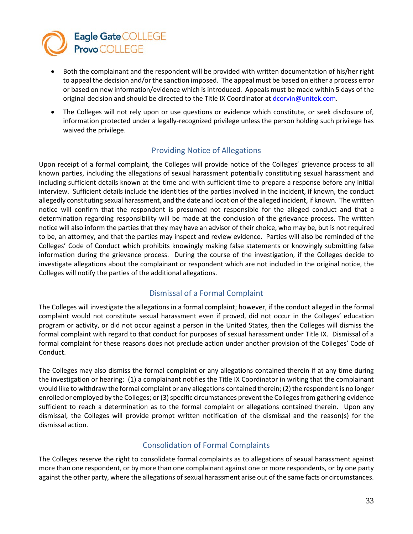

- Both the complainant and the respondent will be provided with written documentation of his/her right to appeal the decision and/or the sanction imposed. The appeal must be based on either a process error or based on new information/evidence which is introduced. Appeals must be made within 5 days of the original decision and should be directed to the Title IX Coordinator a[t dcorvin@unitek.com.](mailto:dcorvin@unitek.com)
- The Colleges will not rely upon or use questions or evidence which constitute, or seek disclosure of, information protected under a legally-recognized privilege unless the person holding such privilege has waived the privilege.

# Providing Notice of Allegations

<span id="page-32-0"></span>Upon receipt of a formal complaint, the Colleges will provide notice of the Colleges' grievance process to all known parties, including the allegations of sexual harassment potentially constituting sexual harassment and including sufficient details known at the time and with sufficient time to prepare a response before any initial interview. Sufficient details include the identities of the parties involved in the incident, if known, the conduct allegedly constituting sexual harassment, and the date and location of the alleged incident, if known. The written notice will confirm that the respondent is presumed not responsible for the alleged conduct and that a determination regarding responsibility will be made at the conclusion of the grievance process. The written notice will also inform the parties that they may have an advisor of their choice, who may be, but is not required to be, an attorney, and that the parties may inspect and review evidence. Parties will also be reminded of the Colleges' Code of Conduct which prohibits knowingly making false statements or knowingly submitting false information during the grievance process. During the course of the investigation, if the Colleges decide to investigate allegations about the complainant or respondent which are not included in the original notice, the Colleges will notify the parties of the additional allegations.

# Dismissal of a Formal Complaint

<span id="page-32-1"></span>The Colleges will investigate the allegations in a formal complaint; however, if the conduct alleged in the formal complaint would not constitute sexual harassment even if proved, did not occur in the Colleges' education program or activity, or did not occur against a person in the United States, then the Colleges will dismiss the formal complaint with regard to that conduct for purposes of sexual harassment under Title IX. Dismissal of a formal complaint for these reasons does not preclude action under another provision of the Colleges' Code of Conduct.

The Colleges may also dismiss the formal complaint or any allegations contained therein if at any time during the investigation or hearing: (1) a complainant notifies the Title IX Coordinator in writing that the complainant would like to withdraw the formal complaint or any allegations contained therein; (2) the respondent is no longer enrolled or employed by the Colleges; or (3) specific circumstances prevent the Colleges from gathering evidence sufficient to reach a determination as to the formal complaint or allegations contained therein. Upon any dismissal, the Colleges will provide prompt written notification of the dismissal and the reason(s) for the dismissal action.

## Consolidation of Formal Complaints

<span id="page-32-2"></span>The Colleges reserve the right to consolidate formal complaints as to allegations of sexual harassment against more than one respondent, or by more than one complainant against one or more respondents, or by one party against the other party, where the allegations of sexual harassment arise out of the same facts or circumstances.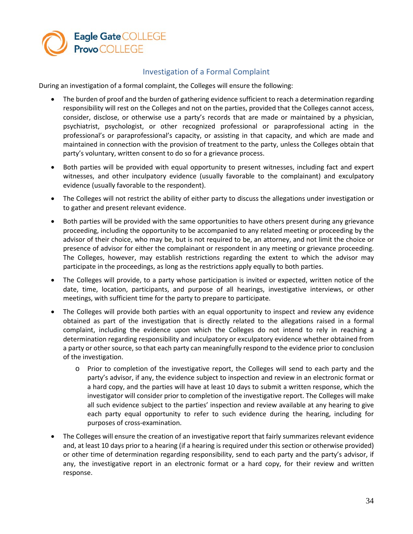

# Investigation of a Formal Complaint

<span id="page-33-0"></span>During an investigation of a formal complaint, the Colleges will ensure the following:

- The burden of proof and the burden of gathering evidence sufficient to reach a determination regarding responsibility will rest on the Colleges and not on the parties, provided that the Colleges cannot access, consider, disclose, or otherwise use a party's records that are made or maintained by a physician, psychiatrist, psychologist, or other recognized professional or paraprofessional acting in the professional's or paraprofessional's capacity, or assisting in that capacity, and which are made and maintained in connection with the provision of treatment to the party, unless the Colleges obtain that party's voluntary, written consent to do so for a grievance process.
- Both parties will be provided with equal opportunity to present witnesses, including fact and expert witnesses, and other inculpatory evidence (usually favorable to the complainant) and exculpatory evidence (usually favorable to the respondent).
- The Colleges will not restrict the ability of either party to discuss the allegations under investigation or to gather and present relevant evidence.
- Both parties will be provided with the same opportunities to have others present during any grievance proceeding, including the opportunity to be accompanied to any related meeting or proceeding by the advisor of their choice, who may be, but is not required to be, an attorney, and not limit the choice or presence of advisor for either the complainant or respondent in any meeting or grievance proceeding. The Colleges, however, may establish restrictions regarding the extent to which the advisor may participate in the proceedings, as long as the restrictions apply equally to both parties.
- The Colleges will provide, to a party whose participation is invited or expected, written notice of the date, time, location, participants, and purpose of all hearings, investigative interviews, or other meetings, with sufficient time for the party to prepare to participate.
- The Colleges will provide both parties with an equal opportunity to inspect and review any evidence obtained as part of the investigation that is directly related to the allegations raised in a formal complaint, including the evidence upon which the Colleges do not intend to rely in reaching a determination regarding responsibility and inculpatory or exculpatory evidence whether obtained from a party or other source, so that each party can meaningfully respond to the evidence prior to conclusion of the investigation.
	- o Prior to completion of the investigative report, the Colleges will send to each party and the party's advisor, if any, the evidence subject to inspection and review in an electronic format or a hard copy, and the parties will have at least 10 days to submit a written response, which the investigator will consider prior to completion of the investigative report. The Colleges will make all such evidence subject to the parties' inspection and review available at any hearing to give each party equal opportunity to refer to such evidence during the hearing, including for purposes of cross-examination.
- The Colleges will ensure the creation of an investigative report that fairly summarizes relevant evidence and, at least 10 days prior to a hearing (if a hearing is required under this section or otherwise provided) or other time of determination regarding responsibility, send to each party and the party's advisor, if any, the investigative report in an electronic format or a hard copy, for their review and written response.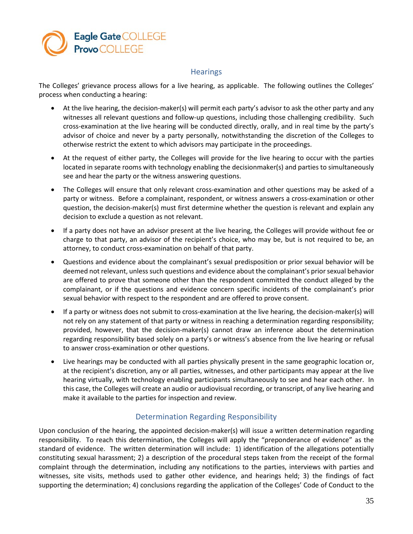

#### **Hearings**

<span id="page-34-0"></span>The Colleges' grievance process allows for a live hearing, as applicable. The following outlines the Colleges' process when conducting a hearing:

- At the live hearing, the decision-maker(s) will permit each party's advisor to ask the other party and any witnesses all relevant questions and follow-up questions, including those challenging credibility. Such cross-examination at the live hearing will be conducted directly, orally, and in real time by the party's advisor of choice and never by a party personally, notwithstanding the discretion of the Colleges to otherwise restrict the extent to which advisors may participate in the proceedings.
- At the request of either party, the Colleges will provide for the live hearing to occur with the parties located in separate rooms with technology enabling the decisionmaker(s) and parties to simultaneously see and hear the party or the witness answering questions.
- The Colleges will ensure that only relevant cross-examination and other questions may be asked of a party or witness. Before a complainant, respondent, or witness answers a cross-examination or other question, the decision-maker(s) must first determine whether the question is relevant and explain any decision to exclude a question as not relevant.
- If a party does not have an advisor present at the live hearing, the Colleges will provide without fee or charge to that party, an advisor of the recipient's choice, who may be, but is not required to be, an attorney, to conduct cross-examination on behalf of that party.
- Questions and evidence about the complainant's sexual predisposition or prior sexual behavior will be deemed not relevant, unless such questions and evidence about the complainant's prior sexual behavior are offered to prove that someone other than the respondent committed the conduct alleged by the complainant, or if the questions and evidence concern specific incidents of the complainant's prior sexual behavior with respect to the respondent and are offered to prove consent.
- If a party or witness does not submit to cross-examination at the live hearing, the decision-maker(s) will not rely on any statement of that party or witness in reaching a determination regarding responsibility; provided, however, that the decision-maker(s) cannot draw an inference about the determination regarding responsibility based solely on a party's or witness's absence from the live hearing or refusal to answer cross-examination or other questions.
- Live hearings may be conducted with all parties physically present in the same geographic location or, at the recipient's discretion, any or all parties, witnesses, and other participants may appear at the live hearing virtually, with technology enabling participants simultaneously to see and hear each other. In this case, the Colleges will create an audio or audiovisual recording, or transcript, of any live hearing and make it available to the parties for inspection and review.

## Determination Regarding Responsibility

<span id="page-34-1"></span>Upon conclusion of the hearing, the appointed decision-maker(s) will issue a written determination regarding responsibility. To reach this determination, the Colleges will apply the "preponderance of evidence" as the standard of evidence. The written determination will include: 1) identification of the allegations potentially constituting sexual harassment; 2) a description of the procedural steps taken from the receipt of the formal complaint through the determination, including any notifications to the parties, interviews with parties and witnesses, site visits, methods used to gather other evidence, and hearings held; 3) the findings of fact supporting the determination; 4) conclusions regarding the application of the Colleges' Code of Conduct to the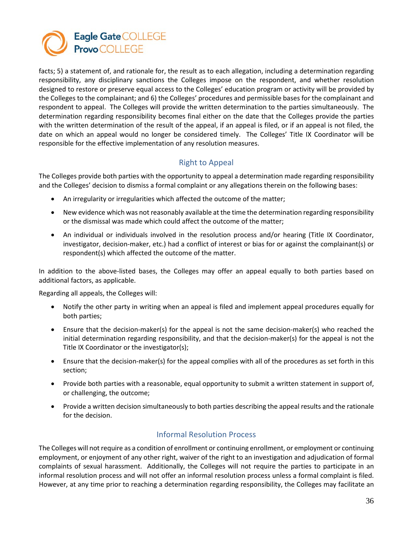

facts; 5) a statement of, and rationale for, the result as to each allegation, including a determination regarding responsibility, any disciplinary sanctions the Colleges impose on the respondent, and whether resolution designed to restore or preserve equal access to the Colleges' education program or activity will be provided by the Colleges to the complainant; and 6) the Colleges' procedures and permissible bases for the complainant and respondent to appeal. The Colleges will provide the written determination to the parties simultaneously. The determination regarding responsibility becomes final either on the date that the Colleges provide the parties with the written determination of the result of the appeal, if an appeal is filed, or if an appeal is not filed, the date on which an appeal would no longer be considered timely. The Colleges' Title IX Coordinator will be responsible for the effective implementation of any resolution measures.

# Right to Appeal

<span id="page-35-0"></span>The Colleges provide both parties with the opportunity to appeal a determination made regarding responsibility and the Colleges' decision to dismiss a formal complaint or any allegations therein on the following bases:

- An irregularity or irregularities which affected the outcome of the matter;
- New evidence which was not reasonably available at the time the determination regarding responsibility or the dismissal was made which could affect the outcome of the matter;
- An individual or individuals involved in the resolution process and/or hearing (Title IX Coordinator, investigator, decision-maker, etc.) had a conflict of interest or bias for or against the complainant(s) or respondent(s) which affected the outcome of the matter.

In addition to the above-listed bases, the Colleges may offer an appeal equally to both parties based on additional factors, as applicable.

Regarding all appeals, the Colleges will:

- Notify the other party in writing when an appeal is filed and implement appeal procedures equally for both parties;
- Ensure that the decision-maker(s) for the appeal is not the same decision-maker(s) who reached the initial determination regarding responsibility, and that the decision-maker(s) for the appeal is not the Title IX Coordinator or the investigator(s);
- Ensure that the decision-maker(s) for the appeal complies with all of the procedures as set forth in this section;
- Provide both parties with a reasonable, equal opportunity to submit a written statement in support of, or challenging, the outcome;
- Provide a written decision simultaneously to both parties describing the appeal results and the rationale for the decision.

## Informal Resolution Process

<span id="page-35-1"></span>The Colleges will not require as a condition of enrollment or continuing enrollment, or employment or continuing employment, or enjoyment of any other right, waiver of the right to an investigation and adjudication of formal complaints of sexual harassment. Additionally, the Colleges will not require the parties to participate in an informal resolution process and will not offer an informal resolution process unless a formal complaint is filed. However, at any time prior to reaching a determination regarding responsibility, the Colleges may facilitate an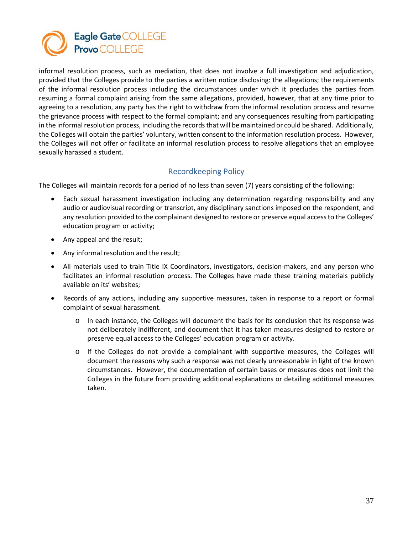

informal resolution process, such as mediation, that does not involve a full investigation and adjudication, provided that the Colleges provide to the parties a written notice disclosing: the allegations; the requirements of the informal resolution process including the circumstances under which it precludes the parties from resuming a formal complaint arising from the same allegations, provided, however, that at any time prior to agreeing to a resolution, any party has the right to withdraw from the informal resolution process and resume the grievance process with respect to the formal complaint; and any consequences resulting from participating in the informal resolution process, including the records that will be maintained or could be shared. Additionally, the Colleges will obtain the parties' voluntary, written consent to the information resolution process. However, the Colleges will not offer or facilitate an informal resolution process to resolve allegations that an employee sexually harassed a student.

## Recordkeeping Policy

<span id="page-36-0"></span>The Colleges will maintain records for a period of no less than seven (7) years consisting of the following:

- Each sexual harassment investigation including any determination regarding responsibility and any audio or audiovisual recording or transcript, any disciplinary sanctions imposed on the respondent, and any resolution provided to the complainant designed to restore or preserve equal access to the Colleges' education program or activity;
- Any appeal and the result;
- Any informal resolution and the result;
- All materials used to train Title IX Coordinators, investigators, decision-makers, and any person who facilitates an informal resolution process. The Colleges have made these training materials publicly available on its' websites;
- Records of any actions, including any supportive measures, taken in response to a report or formal complaint of sexual harassment.
	- o In each instance, the Colleges will document the basis for its conclusion that its response was not deliberately indifferent, and document that it has taken measures designed to restore or preserve equal access to the Colleges' education program or activity.
	- o If the Colleges do not provide a complainant with supportive measures, the Colleges will document the reasons why such a response was not clearly unreasonable in light of the known circumstances. However, the documentation of certain bases or measures does not limit the Colleges in the future from providing additional explanations or detailing additional measures taken.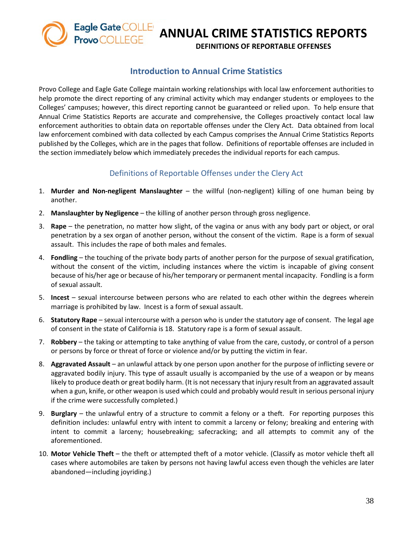**ANNUAL CRIME STATISTICS REPORTS**

**DEFINITIONS OF REPORTABLE OFFENSES**

# **Introduction to Annual Crime Statistics**

<span id="page-37-0"></span>Provo College and Eagle Gate College maintain working relationships with local law enforcement authorities to help promote the direct reporting of any criminal activity which may endanger students or employees to the Colleges' campuses; however, this direct reporting cannot be guaranteed or relied upon. To help ensure that Annual Crime Statistics Reports are accurate and comprehensive, the Colleges proactively contact local law enforcement authorities to obtain data on reportable offenses under the Clery Act. Data obtained from local law enforcement combined with data collected by each Campus comprises the Annual Crime Statistics Reports published by the Colleges, which are in the pages that follow. Definitions of reportable offenses are included in the section immediately below which immediately precedes the individual reports for each campus.

# Definitions of Reportable Offenses under the Clery Act

- <span id="page-37-1"></span>1. **Murder and Non-negligent Manslaughter** – the willful (non-negligent) killing of one human being by another.
- 2. **Manslaughter by Negligence** the killing of another person through gross negligence.

Eagle Gate COLLE **Provo** COLLEGE

- 3. **Rape** the penetration, no matter how slight, of the vagina or anus with any body part or object, or oral penetration by a sex organ of another person, without the consent of the victim. Rape is a form of sexual assault. This includes the rape of both males and females.
- 4. **Fondling** the touching of the private body parts of another person for the purpose of sexual gratification, without the consent of the victim, including instances where the victim is incapable of giving consent because of his/her age or because of his/her temporary or permanent mental incapacity. Fondling is a form of sexual assault.
- 5. **Incest**  sexual intercourse between persons who are related to each other within the degrees wherein marriage is prohibited by law. Incest is a form of sexual assault.
- 6. **Statutory Rape**  sexual intercourse with a person who is under the statutory age of consent. The legal age of consent in the state of California is 18. Statutory rape is a form of sexual assault.
- 7. **Robbery**  the taking or attempting to take anything of value from the care, custody, or control of a person or persons by force or threat of force or violence and/or by putting the victim in fear.
- 8. **Aggravated Assault** an unlawful attack by one person upon another for the purpose of inflicting severe or aggravated bodily injury. This type of assault usually is accompanied by the use of a weapon or by means likely to produce death or great bodily harm. (It is not necessary that injury result from an aggravated assault when a gun, knife, or other weapon is used which could and probably would result in serious personal injury if the crime were successfully completed.)
- 9. **Burglary**  the unlawful entry of a structure to commit a felony or a theft. For reporting purposes this definition includes: unlawful entry with intent to commit a larceny or felony; breaking and entering with intent to commit a larceny; housebreaking; safecracking; and all attempts to commit any of the aforementioned.
- 10. **Motor Vehicle Theft**  the theft or attempted theft of a motor vehicle. (Classify as motor vehicle theft all cases where automobiles are taken by persons not having lawful access even though the vehicles are later abandoned—including joyriding.)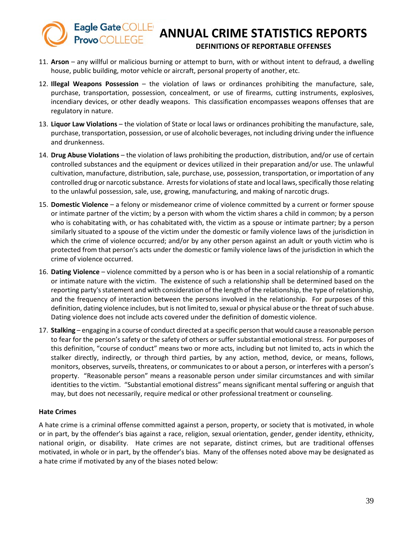# Eagle Gate COLLE **Provo COLLEGE**

# **ANNUAL CRIME STATISTICS REPORTS**

**DEFINITIONS OF REPORTABLE OFFENSES**

- 11. **Arson**  any willful or malicious burning or attempt to burn, with or without intent to defraud, a dwelling house, public building, motor vehicle or aircraft, personal property of another, etc.
- 12. **Illegal Weapons Possession**  the violation of laws or ordinances prohibiting the manufacture, sale, purchase, transportation, possession, concealment, or use of firearms, cutting instruments, explosives, incendiary devices, or other deadly weapons. This classification encompasses weapons offenses that are regulatory in nature.
- 13. **Liquor Law Violations**  the violation of State or local laws or ordinances prohibiting the manufacture, sale, purchase, transportation, possession, or use of alcoholic beverages, not including driving under the influence and drunkenness.
- 14. **Drug Abuse Violations**  the violation of laws prohibiting the production, distribution, and/or use of certain controlled substances and the equipment or devices utilized in their preparation and/or use. The unlawful cultivation, manufacture, distribution, sale, purchase, use, possession, transportation, or importation of any controlled drug or narcotic substance. Arrests for violations of state and local laws, specifically those relating to the unlawful possession, sale, use, growing, manufacturing, and making of narcotic drugs.
- 15. **Domestic Violence** a felony or misdemeanor crime of violence committed by a current or former spouse or intimate partner of the victim; by a person with whom the victim shares a child in common; by a person who is cohabitating with, or has cohabitated with, the victim as a spouse or intimate partner; by a person similarly situated to a spouse of the victim under the domestic or family violence laws of the jurisdiction in which the crime of violence occurred; and/or by any other person against an adult or youth victim who is protected from that person's acts under the domestic or family violence laws of the jurisdiction in which the crime of violence occurred.
- 16. **Dating Violence** violence committed by a person who is or has been in a social relationship of a romantic or intimate nature with the victim. The existence of such a relationship shall be determined based on the reporting party's statement and with consideration of the length of the relationship, the type of relationship, and the frequency of interaction between the persons involved in the relationship. For purposes of this definition, dating violence includes, but is not limited to, sexual or physical abuse or the threat of such abuse. Dating violence does not include acts covered under the definition of domestic violence.
- 17. **Stalking**  engaging in a course of conduct directed at a specific person that would cause a reasonable person to fear for the person's safety or the safety of others or suffer substantial emotional stress. For purposes of this definition, "course of conduct" means two or more acts, including but not limited to, acts in which the stalker directly, indirectly, or through third parties, by any action, method, device, or means, follows, monitors, observes, surveils, threatens, or communicates to or about a person, or interferes with a person's property. "Reasonable person" means a reasonable person under similar circumstances and with similar identities to the victim. "Substantial emotional distress" means significant mental suffering or anguish that may, but does not necessarily, require medical or other professional treatment or counseling.

#### **Hate Crimes**

A hate crime is a criminal offense committed against a person, property, or society that is motivated, in whole or in part, by the offender's bias against a race, religion, sexual orientation, gender, gender identity, ethnicity, national origin, or disability. Hate crimes are not separate, distinct crimes, but are traditional offenses motivated, in whole or in part, by the offender's bias. Many of the offenses noted above may be designated as a hate crime if motivated by any of the biases noted below: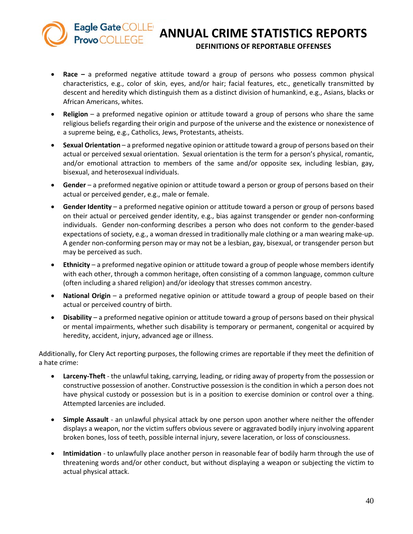# **ANNUAL CRIME STATISTICS REPORTS**

#### **DEFINITIONS OF REPORTABLE OFFENSES**

• **Race –** a preformed negative attitude toward a group of persons who possess common physical characteristics, e.g., color of skin, eyes, and/or hair; facial features, etc., genetically transmitted by descent and heredity which distinguish them as a distinct division of humankind, e.g., Asians, blacks or African Americans, whites.

Eagle Gate COLLE **Provo** COLLEGE

- **Religion** a preformed negative opinion or attitude toward a group of persons who share the same religious beliefs regarding their origin and purpose of the universe and the existence or nonexistence of a supreme being, e.g., Catholics, Jews, Protestants, atheists.
- **Sexual Orientation** a preformed negative opinion or attitude toward a group of persons based on their actual or perceived sexual orientation. Sexual orientation is the term for a person's physical, romantic, and/or emotional attraction to members of the same and/or opposite sex, including lesbian, gay, bisexual, and heterosexual individuals.
- **Gender** a preformed negative opinion or attitude toward a person or group of persons based on their actual or perceived gender, e.g., male or female.
- **Gender Identity** a preformed negative opinion or attitude toward a person or group of persons based on their actual or perceived gender identity, e.g., bias against transgender or gender non-conforming individuals. Gender non-conforming describes a person who does not conform to the gender-based expectations of society, e.g., a woman dressed in traditionally male clothing or a man wearing make-up. A gender non-conforming person may or may not be a lesbian, gay, bisexual, or transgender person but may be perceived as such.
- **Ethnicity** a preformed negative opinion or attitude toward a group of people whose members identify with each other, through a common heritage, often consisting of a common language, common culture (often including a shared religion) and/or ideology that stresses common ancestry.
- **National Origin** a preformed negative opinion or attitude toward a group of people based on their actual or perceived country of birth.
- **Disability** a preformed negative opinion or attitude toward a group of persons based on their physical or mental impairments, whether such disability is temporary or permanent, congenital or acquired by heredity, accident, injury, advanced age or illness.

Additionally, for Clery Act reporting purposes, the following crimes are reportable if they meet the definition of a hate crime:

- **Larceny-Theft** the unlawful taking, carrying, leading, or riding away of property from the possession or constructive possession of another. Constructive possession is the condition in which a person does not have physical custody or possession but is in a position to exercise dominion or control over a thing. Attempted larcenies are included.
- **Simple Assault** an unlawful physical attack by one person upon another where neither the offender displays a weapon, nor the victim suffers obvious severe or aggravated bodily injury involving apparent broken bones, loss of teeth, possible internal injury, severe laceration, or loss of consciousness.
- **Intimidation** to unlawfully place another person in reasonable fear of bodily harm through the use of threatening words and/or other conduct, but without displaying a weapon or subjecting the victim to actual physical attack.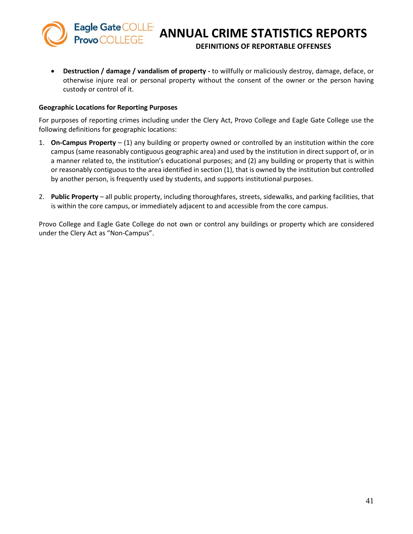

**ANNUAL CRIME STATISTICS REPORTS**

**DEFINITIONS OF REPORTABLE OFFENSES**

• **Destruction / damage / vandalism of property -** to willfully or maliciously destroy, damage, deface, or otherwise injure real or personal property without the consent of the owner or the person having custody or control of it.

#### **Geographic Locations for Reporting Purposes**

For purposes of reporting crimes including under the Clery Act, Provo College and Eagle Gate College use the following definitions for geographic locations:

- 1. **On-Campus Property** (1) any building or property owned or controlled by an institution within the core campus (same reasonably contiguous geographic area) and used by the institution in direct support of, or in a manner related to, the institution's educational purposes; and (2) any building or property that is within or reasonably contiguous to the area identified in section (1), that is owned by the institution but controlled by another person, is frequently used by students, and supports institutional purposes.
- 2. **Public Property** all public property, including thoroughfares, streets, sidewalks, and parking facilities, that is within the core campus, or immediately adjacent to and accessible from the core campus.

Provo College and Eagle Gate College do not own or control any buildings or property which are considered under the Clery Act as "Non-Campus".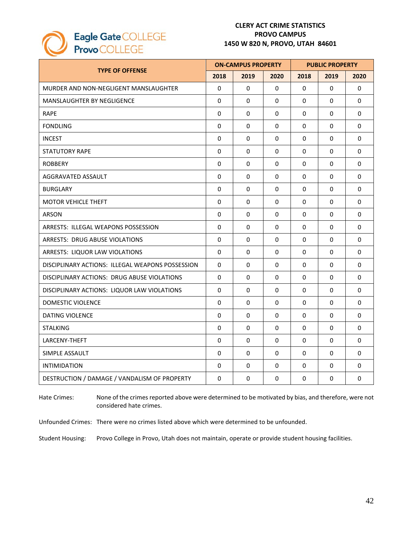

# Eagle Gate COLLEGE<br>Provo COLLEGE

#### **CLERY ACT CRIME STATISTICS PROVO CAMPUS 1450 W 820 N, PROVO, UTAH 84601**

| <b>TYPE OF OFFENSE</b>                           |             | <b>ON-CAMPUS PROPERTY</b> |             |          | <b>PUBLIC PROPERTY</b> |          |  |
|--------------------------------------------------|-------------|---------------------------|-------------|----------|------------------------|----------|--|
|                                                  |             | 2019                      | 2020        | 2018     | 2019                   | 2020     |  |
| MURDER AND NON-NEGLIGENT MANSLAUGHTER            | 0           | $\Omega$                  | 0           | 0        | 0                      | 0        |  |
| MANSLAUGHTER BY NEGLIGENCE                       | $\Omega$    | $\Omega$                  | $\Omega$    | 0        | $\Omega$               | 0        |  |
| <b>RAPE</b>                                      | 0           | 0                         | 0           | 0        | $\pmb{0}$              | 0        |  |
| <b>FONDLING</b>                                  | 0           | 0                         | 0           | 0        | 0                      | 0        |  |
| <b>INCEST</b>                                    | $\mathbf 0$ | $\Omega$                  | $\Omega$    | 0        | $\Omega$               | $\Omega$ |  |
| <b>STATUTORY RAPE</b>                            | 0           | 0                         | 0           | 0        | 0                      | 0        |  |
| <b>ROBBERY</b>                                   | 0           | 0                         | 0           | 0        | $\pmb{0}$              | 0        |  |
| AGGRAVATED ASSAULT                               | 0           | 0                         | 0           | 0        | 0                      | 0        |  |
| <b>BURGLARY</b>                                  | 0           | 0                         | 0           | 0        | 0                      | 0        |  |
| <b>MOTOR VEHICLE THEFT</b>                       | 0           | 0                         | 0           | 0        | 0                      | 0        |  |
| <b>ARSON</b>                                     | $\Omega$    | $\Omega$                  | $\Omega$    | $\Omega$ | $\Omega$               | $\Omega$ |  |
| ARRESTS: ILLEGAL WEAPONS POSSESSION              | $\mathbf 0$ | 0                         | $\mathbf 0$ | 0        | 0                      | 0        |  |
| ARRESTS: DRUG ABUSE VIOLATIONS                   | $\Omega$    | $\Omega$                  | 0           | 0        | 0                      | $\Omega$ |  |
| ARRESTS: LIQUOR LAW VIOLATIONS                   | $\pmb{0}$   | $\Omega$                  | $\Omega$    | 0        | $\Omega$               | $\Omega$ |  |
| DISCIPLINARY ACTIONS: ILLEGAL WEAPONS POSSESSION | 0           | 0                         | $\Omega$    | 0        | 0                      | $\Omega$ |  |
| DISCIPLINARY ACTIONS: DRUG ABUSE VIOLATIONS      | 0           | 0                         | 0           | 0        | 0                      | 0        |  |
| DISCIPLINARY ACTIONS: LIQUOR LAW VIOLATIONS      | 0           | 0                         | $\pmb{0}$   | 0        | $\pmb{0}$              | 0        |  |
| <b>DOMESTIC VIOLENCE</b>                         | 0           | 0                         | 0           | 0        | 0                      | 0        |  |
| <b>DATING VIOLENCE</b>                           | 0           | 0                         | 0           | 0        | 0                      | 0        |  |
| <b>STALKING</b>                                  | 0           | 0                         | 0           | 0        | 0                      | 0        |  |
| LARCENY-THEFT                                    | $\mathbf 0$ | 0                         | 0           | 0        | 0                      | 0        |  |
| SIMPLE ASSAULT                                   | 0           | 0                         | 0           | 0        | 0                      | 0        |  |
| <b>INTIMIDATION</b>                              | 0           | 0                         | 0           | 0        | 0                      | 0        |  |
| DESTRUCTION / DAMAGE / VANDALISM OF PROPERTY     | $\Omega$    | $\Omega$                  | $\Omega$    | 0        | $\Omega$               | 0        |  |

Hate Crimes: None of the crimes reported above were determined to be motivated by bias, and therefore, were not considered hate crimes.

Unfounded Crimes: There were no crimes listed above which were determined to be unfounded.

Student Housing: Provo College in Provo, Utah does not maintain, operate or provide student housing facilities.